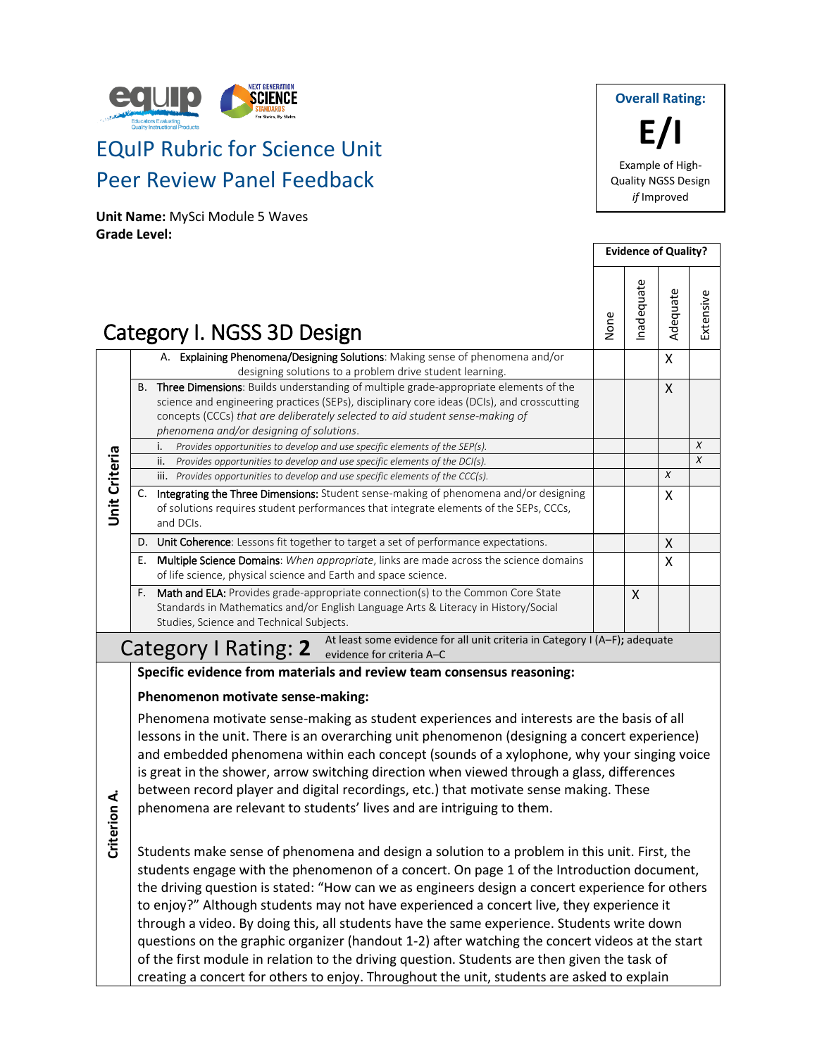

# EQuIP Rubric for Science Unit Peer Review Panel Feedback

**Unit Name:** MySci Module 5 Waves **Grade Level:**

**Overall Rating: E/I** Example of High-Quality NGSS Design *if* Improved

|                      |              |                                                                                                                                                                                                                                                                                                                    |      |            | <b>Evidence of Quality?</b> |                  |
|----------------------|--------------|--------------------------------------------------------------------------------------------------------------------------------------------------------------------------------------------------------------------------------------------------------------------------------------------------------------------|------|------------|-----------------------------|------------------|
|                      |              | Category I. NGSS 3D Design                                                                                                                                                                                                                                                                                         | None | Inadequate | Adequate                    | Extensive        |
|                      |              | A. Explaining Phenomena/Designing Solutions: Making sense of phenomena and/or<br>designing solutions to a problem drive student learning.                                                                                                                                                                          |      |            | X                           |                  |
|                      |              | B. Three Dimensions: Builds understanding of multiple grade-appropriate elements of the<br>science and engineering practices (SEPs), disciplinary core ideas (DCIs), and crosscutting<br>concepts (CCCs) that are deliberately selected to aid student sense-making of<br>phenomena and/or designing of solutions. |      |            | X                           |                  |
|                      |              | i.<br>Provides opportunities to develop and use specific elements of the SEP(s).                                                                                                                                                                                                                                   |      |            |                             | $\boldsymbol{x}$ |
|                      |              | ii.<br>Provides opportunities to develop and use specific elements of the DCI(s).                                                                                                                                                                                                                                  |      |            |                             | $\chi$           |
|                      |              | iii. Provides opportunities to develop and use specific elements of the CCC(s).                                                                                                                                                                                                                                    |      |            | X                           |                  |
| <b>Unit Criteria</b> | C.           | Integrating the Three Dimensions: Student sense-making of phenomena and/or designing<br>of solutions requires student performances that integrate elements of the SEPs, CCCs,<br>and DCIs.                                                                                                                         |      |            | X                           |                  |
|                      |              | D. Unit Coherence: Lessons fit together to target a set of performance expectations.                                                                                                                                                                                                                               |      |            | X                           |                  |
|                      | Е.           | Multiple Science Domains: When appropriate, links are made across the science domains<br>of life science, physical science and Earth and space science.                                                                                                                                                            |      |            | $\mathsf{X}$                |                  |
|                      | $F_{\rm{H}}$ | Math and ELA: Provides grade-appropriate connection(s) to the Common Core State<br>Standards in Mathematics and/or English Language Arts & Literacy in History/Social<br>Studies, Science and Technical Subjects.                                                                                                  |      | X          |                             |                  |
|                      |              | At least some evidence for all unit criteria in Category I (A-F); adequate<br>Category I Rating: 2 Previdence for criteria A-C                                                                                                                                                                                     |      |            |                             |                  |
|                      |              | Specific evidence from materials and review team consensus reasoning:                                                                                                                                                                                                                                              |      |            |                             |                  |
|                      |              | Phenomenon motivate sense-making:                                                                                                                                                                                                                                                                                  |      |            |                             |                  |
|                      |              | Phenomena motivate sense-making as student experiences and interests are the basis of all                                                                                                                                                                                                                          |      |            |                             |                  |
|                      |              | lessons in the unit. There is an overarching unit phenomenon (designing a concert experience)<br>and embedded phenomena within each concept (sounds of a xylophone, why your singing voice<br>is great in the shower, arrow switching direction when viewed through a glass, differences                           |      |            |                             |                  |
|                      |              |                                                                                                                                                                                                                                                                                                                    |      |            |                             |                  |

- between record player and digital recordings, etc.) that motivate sense making. These
- phenomena are relevant to students' lives and are intriguing to them.
- **Criterion A.**

Students make sense of phenomena and design a solution to a problem in this unit. First, the students engage with the phenomenon of a concert. On page 1 of the Introduction document, the driving question is stated: "How can we as engineers design a concert experience for others to enjoy?" Although students may not have experienced a concert live, they experience it through a video. By doing this, all students have the same experience. Students write down questions on the graphic organizer (handout 1-2) after watching the concert videos at the start of the first module in relation to the driving question. Students are then given the task of creating a concert for others to enjoy. Throughout the unit, students are asked to explain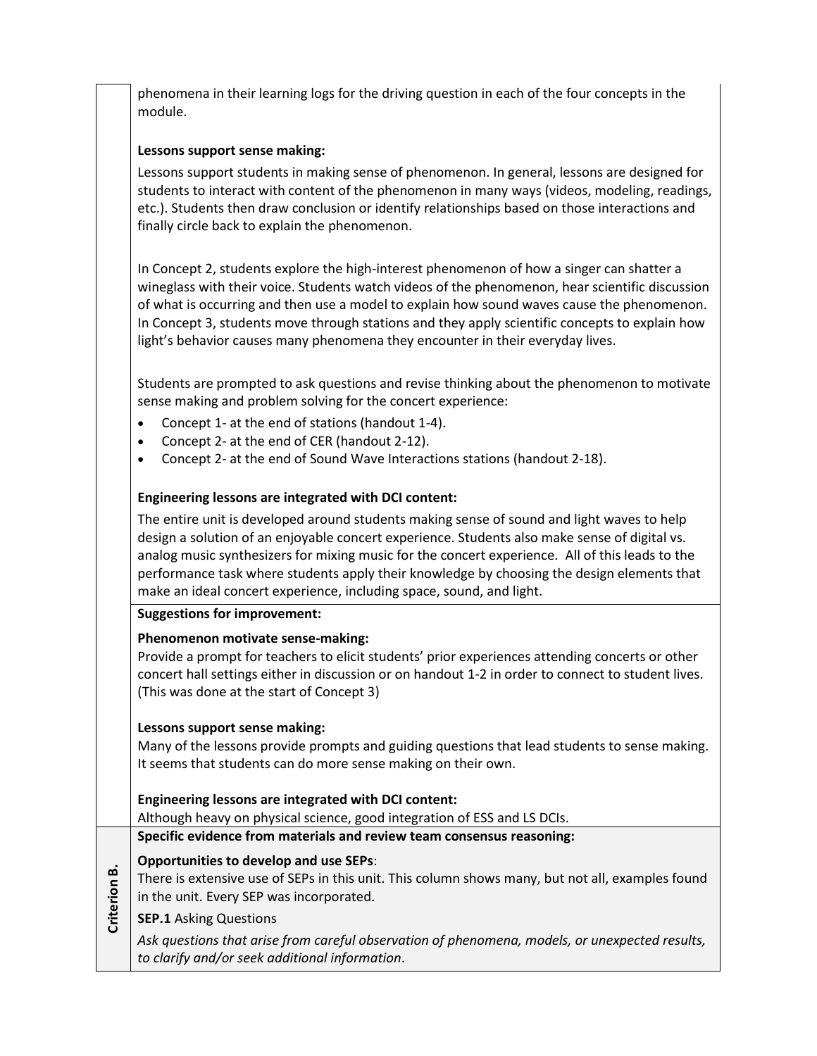phenomena in their learning logs for the driving question in each of the four concepts in the module.

### **Lessons support sense making:**

Lessons support students in making sense of phenomenon. In general, lessons are designed for students to interact with content of the phenomenon in many ways (videos, modeling, readings, etc.). Students then draw conclusion or identify relationships based on those interactions and finally circle back to explain the phenomenon.

In Concept 2, students explore the high-interest phenomenon of how a singer can shatter a wineglass with their voice. Students watch videos of the phenomenon, hear scientific discussion of what is occurring and then use a model to explain how sound waves cause the phenomenon. In Concept 3, students move through stations and they apply scientific concepts to explain how light's behavior causes many phenomena they encounter in their everyday lives.

Students are prompted to ask questions and revise thinking about the phenomenon to motivate sense making and problem solving for the concert experience:

- Concept 1- at the end of stations (handout 1-4).
- Concept 2- at the end of CER (handout 2-12).
- Concept 2- at the end of Sound Wave Interactions stations (handout 2-18).

### **Engineering lessons are integrated with DCI content:**

The entire unit is developed around students making sense of sound and light waves to help design a solution of an enjoyable concert experience. Students also make sense of digital vs. analog music synthesizers for mixing music for the concert experience. All of this leads to the performance task where students apply their knowledge by choosing the design elements that make an ideal concert experience, including space, sound, and light.

#### **Suggestions for improvement:**

### **Phenomenon motivate sense-making:**

Provide a prompt for teachers to elicit students' prior experiences attending concerts or other concert hall settings either in discussion or on handout 1-2 in order to connect to student lives. (This was done at the start of Concept 3)

### **Lessons support sense making:**

Many of the lessons provide prompts and guiding questions that lead students to sense making. It seems that students can do more sense making on their own.

### **Engineering lessons are integrated with DCI content:**

Although heavy on physical science, good integration of ESS and LS DCIs.

**Specific evidence from materials and review team consensus reasoning:**

### **Opportunities to develop and use SEPs**:

- **Criterion B.** There is extensive use of SEPs in this unit. This column shows many, but not all, examples found in the unit. Every SEP was incorporated.
- **SEP.1** Asking Questions

*Ask questions that arise from careful observation of phenomena, models, or unexpected results, to clarify and/or seek additional information*.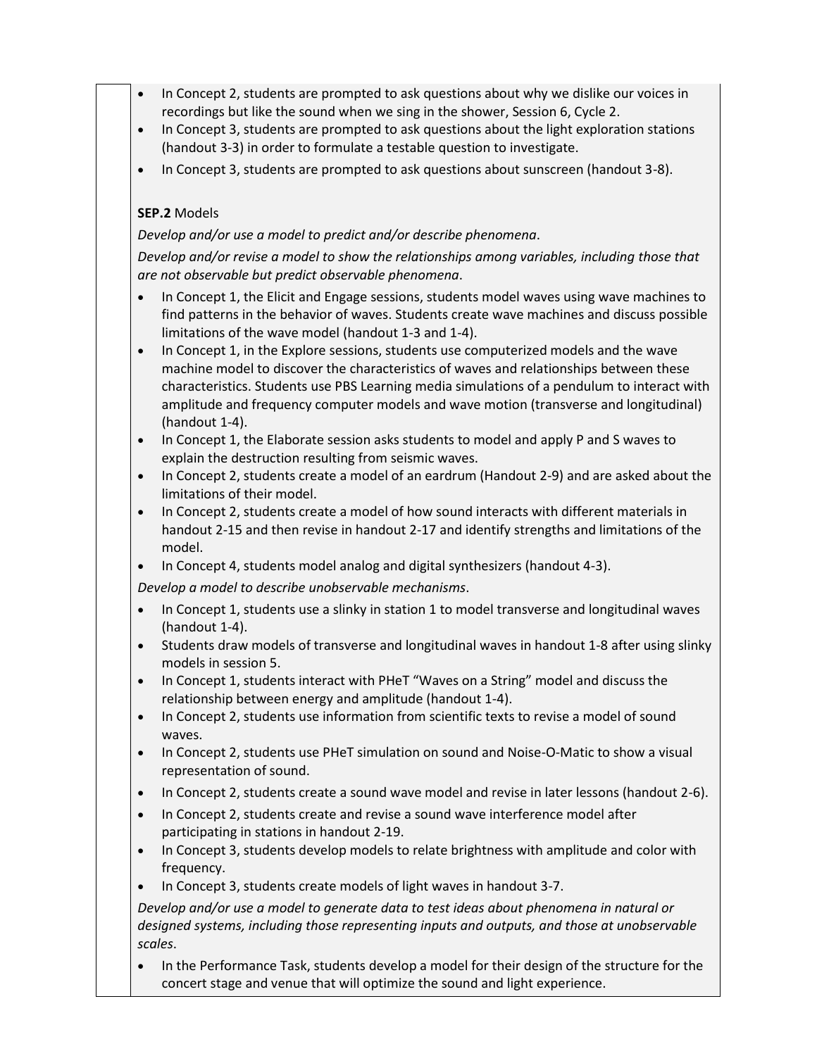- In Concept 2, students are prompted to ask questions about why we dislike our voices in recordings but like the sound when we sing in the shower, Session 6, Cycle 2.
- In Concept 3, students are prompted to ask questions about the light exploration stations (handout 3-3) in order to formulate a testable question to investigate.
- In Concept 3, students are prompted to ask questions about sunscreen (handout 3-8).

### **SEP.2** Models

*Develop and/or use a model to predict and/or describe phenomena*.

*Develop and/or revise a model to show the relationships among variables, including those that are not observable but predict observable phenomena*.

- In Concept 1, the Elicit and Engage sessions, students model waves using wave machines to find patterns in the behavior of waves. Students create wave machines and discuss possible limitations of the wave model (handout 1-3 and 1-4).
- In Concept 1, in the Explore sessions, students use computerized models and the wave machine model to discover the characteristics of waves and relationships between these characteristics. Students use PBS Learning media simulations of a pendulum to interact with amplitude and frequency computer models and wave motion (transverse and longitudinal) (handout 1-4).
- In Concept 1, the Elaborate session asks students to model and apply P and S waves to explain the destruction resulting from seismic waves.
- In Concept 2, students create a model of an eardrum (Handout 2-9) and are asked about the limitations of their model.
- In Concept 2, students create a model of how sound interacts with different materials in handout 2-15 and then revise in handout 2-17 and identify strengths and limitations of the model.
- In Concept 4, students model analog and digital synthesizers (handout 4-3).

*Develop a model to describe unobservable mechanisms*.

- In Concept 1, students use a slinky in station 1 to model transverse and longitudinal waves (handout 1-4).
- Students draw models of transverse and longitudinal waves in handout 1-8 after using slinky models in session 5.
- In Concept 1, students interact with PHeT "Waves on a String" model and discuss the relationship between energy and amplitude (handout 1-4).
- In Concept 2, students use information from scientific texts to revise a model of sound waves.
- In Concept 2, students use PHeT simulation on sound and Noise-O-Matic to show a visual representation of sound.
- In Concept 2, students create a sound wave model and revise in later lessons (handout 2-6).
- In Concept 2, students create and revise a sound wave interference model after participating in stations in handout 2-19.
- In Concept 3, students develop models to relate brightness with amplitude and color with frequency.
- In Concept 3, students create models of light waves in handout 3-7.

*Develop and/or use a model to generate data to test ideas about phenomena in natural or designed systems, including those representing inputs and outputs, and those at unobservable scales*.

• In the Performance Task, students develop a model for their design of the structure for the concert stage and venue that will optimize the sound and light experience.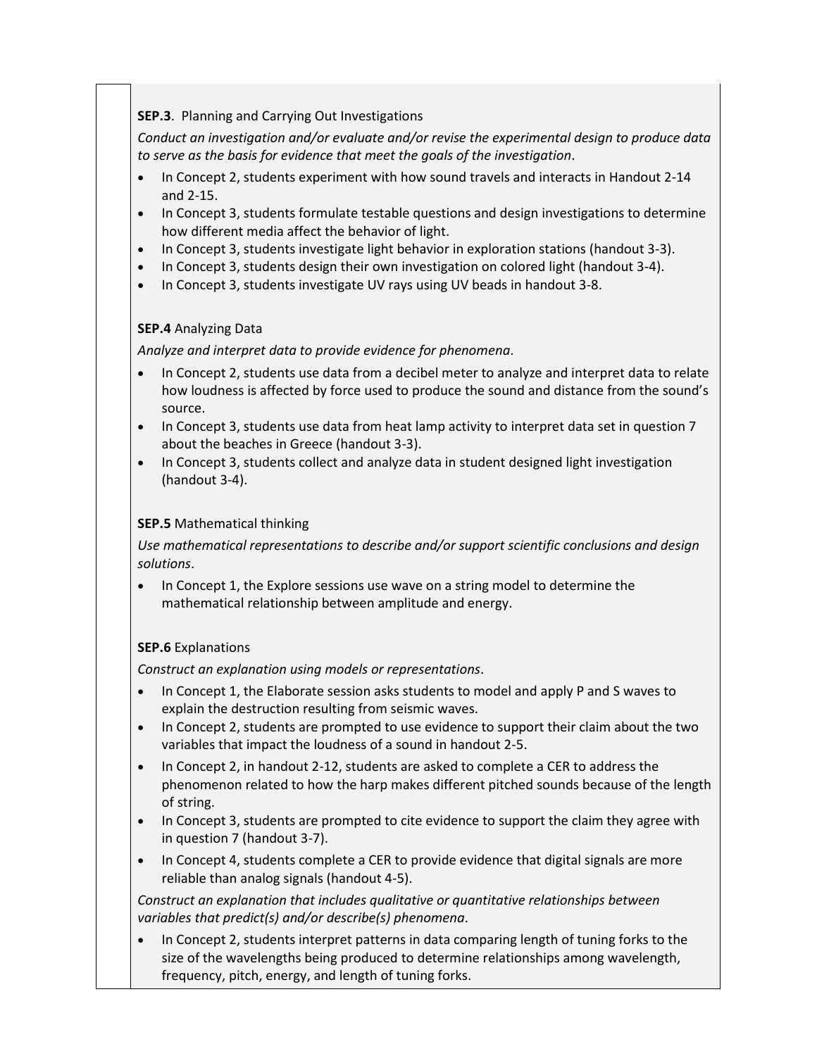### **SEP.3**. Planning and Carrying Out Investigations

*Conduct an investigation and/or evaluate and/or revise the experimental design to produce data to serve as the basis for evidence that meet the goals of the investigation*.

- In Concept 2, students experiment with how sound travels and interacts in Handout 2-14 and 2-15.
- In Concept 3, students formulate testable questions and design investigations to determine how different media affect the behavior of light.
- In Concept 3, students investigate light behavior in exploration stations (handout 3-3).
- In Concept 3, students design their own investigation on colored light (handout 3-4).
- In Concept 3, students investigate UV rays using UV beads in handout 3-8.

## **SEP.4** Analyzing Data

*Analyze and interpret data to provide evidence for phenomena*.

- In Concept 2, students use data from a decibel meter to analyze and interpret data to relate how loudness is affected by force used to produce the sound and distance from the sound's source.
- In Concept 3, students use data from heat lamp activity to interpret data set in question 7 about the beaches in Greece (handout 3-3).
- In Concept 3, students collect and analyze data in student designed light investigation (handout 3-4).

### **SEP.5** Mathematical thinking

*Use mathematical representations to describe and/or support scientific conclusions and design solutions*.

In Concept 1, the Explore sessions use wave on a string model to determine the mathematical relationship between amplitude and energy.

### **SEP.6** Explanations

*Construct an explanation using models or representations*.

- In Concept 1, the Elaborate session asks students to model and apply P and S waves to explain the destruction resulting from seismic waves.
- In Concept 2, students are prompted to use evidence to support their claim about the two variables that impact the loudness of a sound in handout 2-5.
- In Concept 2, in handout 2-12, students are asked to complete a CER to address the phenomenon related to how the harp makes different pitched sounds because of the length of string.
- In Concept 3, students are prompted to cite evidence to support the claim they agree with in question 7 (handout 3-7).
- In Concept 4, students complete a CER to provide evidence that digital signals are more reliable than analog signals (handout 4-5).

*Construct an explanation that includes qualitative or quantitative relationships between variables that predict(s) and/or describe(s) phenomena*.

• In Concept 2, students interpret patterns in data comparing length of tuning forks to the size of the wavelengths being produced to determine relationships among wavelength, frequency, pitch, energy, and length of tuning forks.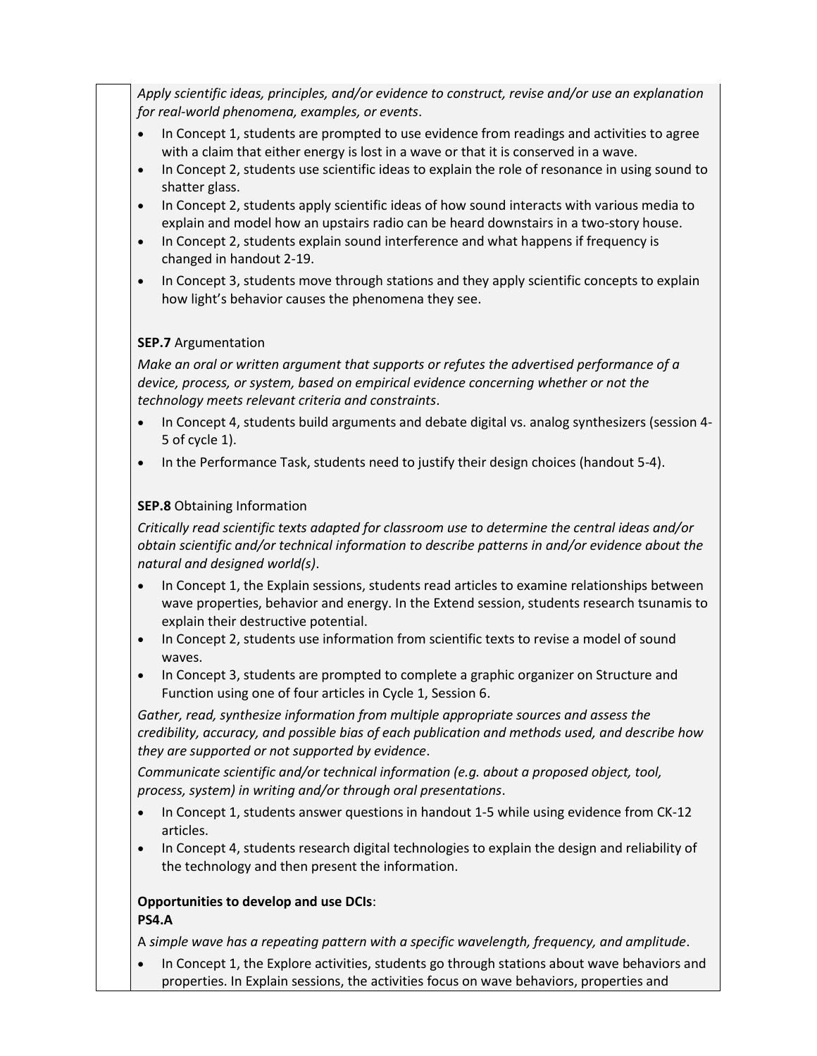*Apply scientific ideas, principles, and/or evidence to construct, revise and/or use an explanation for real-world phenomena, examples, or events*.

- In Concept 1, students are prompted to use evidence from readings and activities to agree with a claim that either energy is lost in a wave or that it is conserved in a wave.
- In Concept 2, students use scientific ideas to explain the role of resonance in using sound to shatter glass.
- In Concept 2, students apply scientific ideas of how sound interacts with various media to explain and model how an upstairs radio can be heard downstairs in a two-story house.
- In Concept 2, students explain sound interference and what happens if frequency is changed in handout 2-19.
- In Concept 3, students move through stations and they apply scientific concepts to explain how light's behavior causes the phenomena they see.

### **SEP.7** Argumentation

*Make an oral or written argument that supports or refutes the advertised performance of a device, process, or system, based on empirical evidence concerning whether or not the technology meets relevant criteria and constraints*.

- In Concept 4, students build arguments and debate digital vs. analog synthesizers (session 4- 5 of cycle 1).
- In the Performance Task, students need to justify their design choices (handout 5-4).

### **SEP.8** Obtaining Information

*Critically read scientific texts adapted for classroom use to determine the central ideas and/or obtain scientific and/or technical information to describe patterns in and/or evidence about the natural and designed world(s)*.

- In Concept 1, the Explain sessions, students read articles to examine relationships between wave properties, behavior and energy. In the Extend session, students research tsunamis to explain their destructive potential.
- In Concept 2, students use information from scientific texts to revise a model of sound waves.
- In Concept 3, students are prompted to complete a graphic organizer on Structure and Function using one of four articles in Cycle 1, Session 6.

*Gather, read, synthesize information from multiple appropriate sources and assess the credibility, accuracy, and possible bias of each publication and methods used, and describe how they are supported or not supported by evidence*.

*Communicate scientific and/or technical information (e.g. about a proposed object, tool, process, system) in writing and/or through oral presentations*.

- In Concept 1, students answer questions in handout 1-5 while using evidence from CK-12 articles.
- In Concept 4, students research digital technologies to explain the design and reliability of the technology and then present the information.

### **Opportunities to develop and use DCIs**: **PS4.A**

A *simple wave has a repeating pattern with a specific wavelength, frequency, and amplitude*.

• In Concept 1, the Explore activities, students go through stations about wave behaviors and properties. In Explain sessions, the activities focus on wave behaviors, properties and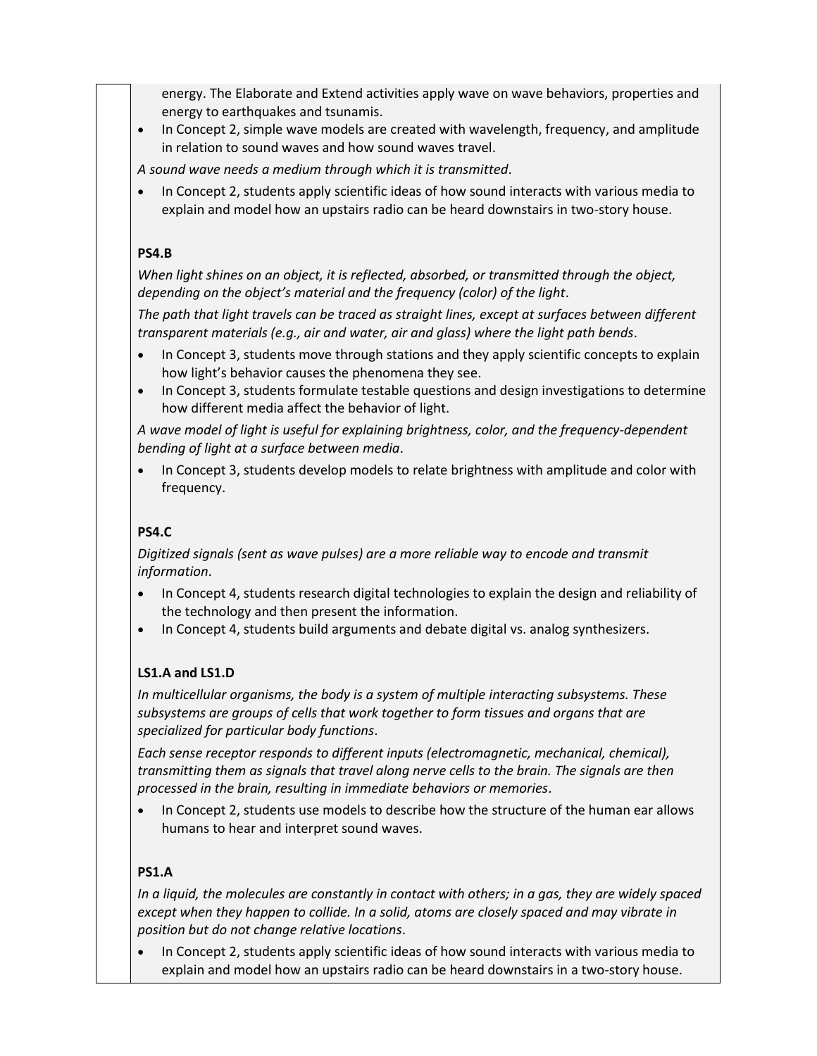energy. The Elaborate and Extend activities apply wave on wave behaviors, properties and energy to earthquakes and tsunamis.

• In Concept 2, simple wave models are created with wavelength, frequency, and amplitude in relation to sound waves and how sound waves travel.

*A sound wave needs a medium through which it is transmitted*.

• In Concept 2, students apply scientific ideas of how sound interacts with various media to explain and model how an upstairs radio can be heard downstairs in two-story house.

### **PS4.B**

*When light shines on an object, it is reflected, absorbed, or transmitted through the object, depending on the object's material and the frequency (color) of the light*.

*The path that light travels can be traced as straight lines, except at surfaces between different transparent materials (e.g., air and water, air and glass) where the light path bends*.

- In Concept 3, students move through stations and they apply scientific concepts to explain how light's behavior causes the phenomena they see.
- In Concept 3, students formulate testable questions and design investigations to determine how different media affect the behavior of light.

*A wave model of light is useful for explaining brightness, color, and the frequency-dependent bending of light at a surface between media*.

• In Concept 3, students develop models to relate brightness with amplitude and color with frequency.

# **PS4.C**

*Digitized signals (sent as wave pulses) are a more reliable way to encode and transmit information*.

- In Concept 4, students research digital technologies to explain the design and reliability of the technology and then present the information.
- In Concept 4, students build arguments and debate digital vs. analog synthesizers.

### **LS1.A and LS1.D**

*In multicellular organisms, the body is a system of multiple interacting subsystems. These subsystems are groups of cells that work together to form tissues and organs that are specialized for particular body functions*.

*Each sense receptor responds to different inputs (electromagnetic, mechanical, chemical), transmitting them as signals that travel along nerve cells to the brain. The signals are then processed in the brain, resulting in immediate behaviors or memories*.

• In Concept 2, students use models to describe how the structure of the human ear allows humans to hear and interpret sound waves.

### **PS1.A**

*In a liquid, the molecules are constantly in contact with others; in a gas, they are widely spaced except when they happen to collide. In a solid, atoms are closely spaced and may vibrate in position but do not change relative locations*.

• In Concept 2, students apply scientific ideas of how sound interacts with various media to explain and model how an upstairs radio can be heard downstairs in a two-story house.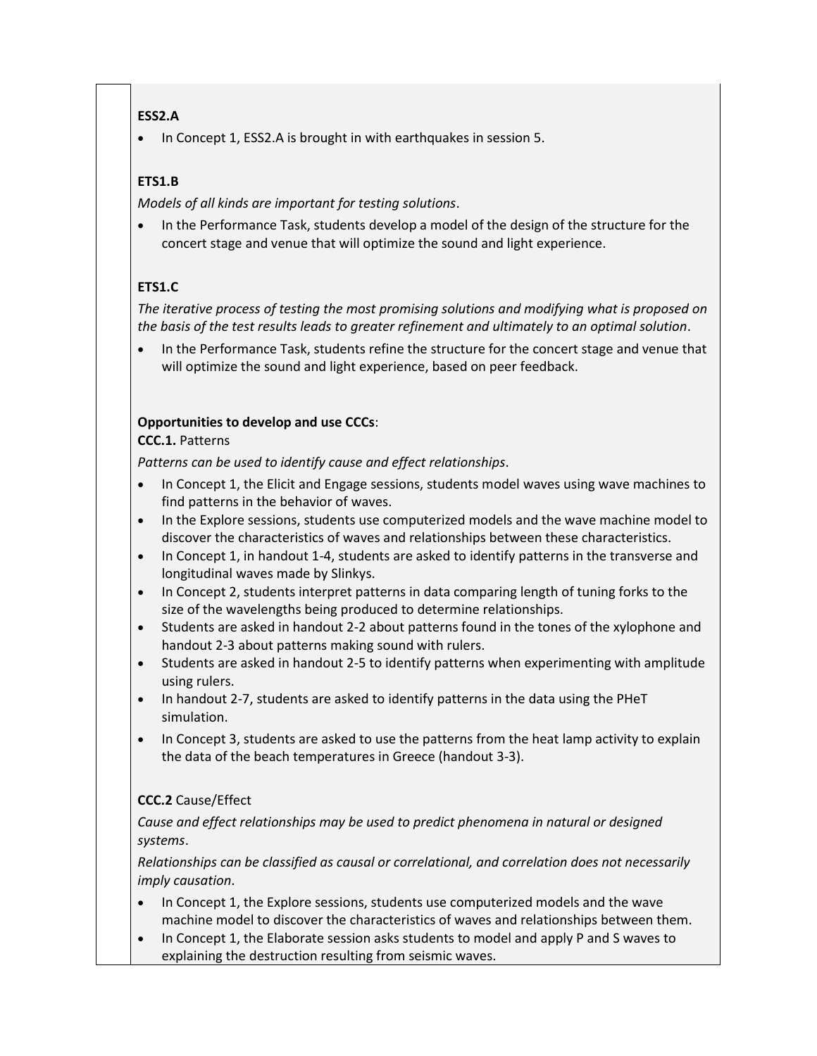# **ESS2.A**

• In Concept 1, ESS2.A is brought in with earthquakes in session 5.

# **ETS1.B**

*Models of all kinds are important for testing solutions*.

• In the Performance Task, students develop a model of the design of the structure for the concert stage and venue that will optimize the sound and light experience.

# **ETS1.C**

*The iterative process of testing the most promising solutions and modifying what is proposed on the basis of the test results leads to greater refinement and ultimately to an optimal solution*.

• In the Performance Task, students refine the structure for the concert stage and venue that will optimize the sound and light experience, based on peer feedback.

# **Opportunities to develop and use CCCs**:

### **CCC.1.** Patterns

*Patterns can be used to identify cause and effect relationships*.

- In Concept 1, the Elicit and Engage sessions, students model waves using wave machines to find patterns in the behavior of waves.
- In the Explore sessions, students use computerized models and the wave machine model to discover the characteristics of waves and relationships between these characteristics.
- In Concept 1, in handout 1-4, students are asked to identify patterns in the transverse and longitudinal waves made by Slinkys.
- In Concept 2, students interpret patterns in data comparing length of tuning forks to the size of the wavelengths being produced to determine relationships.
- Students are asked in handout 2-2 about patterns found in the tones of the xylophone and handout 2-3 about patterns making sound with rulers.
- Students are asked in handout 2-5 to identify patterns when experimenting with amplitude using rulers.
- In handout 2-7, students are asked to identify patterns in the data using the PHeT simulation.
- In Concept 3, students are asked to use the patterns from the heat lamp activity to explain the data of the beach temperatures in Greece (handout 3-3).

# **CCC.2** Cause/Effect

*Cause and effect relationships may be used to predict phenomena in natural or designed systems*.

*Relationships can be classified as causal or correlational, and correlation does not necessarily imply causation*.

- In Concept 1, the Explore sessions, students use computerized models and the wave machine model to discover the characteristics of waves and relationships between them.
- In Concept 1, the Elaborate session asks students to model and apply P and S waves to explaining the destruction resulting from seismic waves.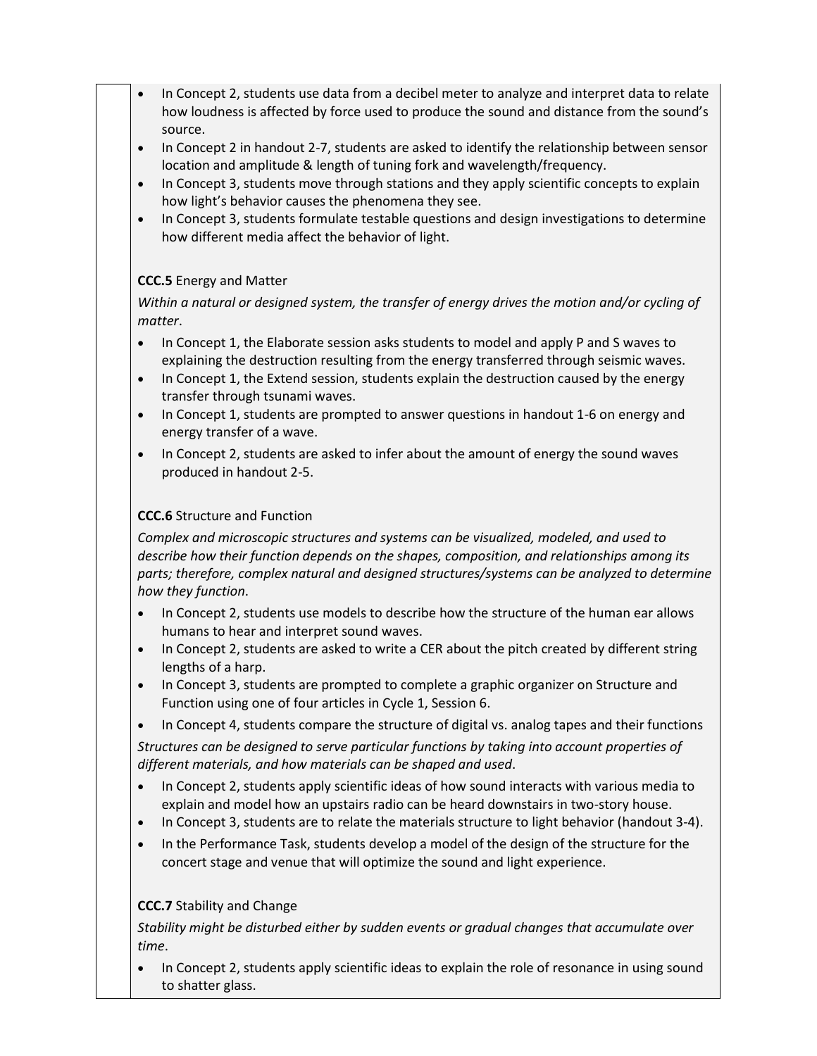- In Concept 2, students use data from a decibel meter to analyze and interpret data to relate how loudness is affected by force used to produce the sound and distance from the sound's source.
- In Concept 2 in handout 2-7, students are asked to identify the relationship between sensor location and amplitude & length of tuning fork and wavelength/frequency.
- In Concept 3, students move through stations and they apply scientific concepts to explain how light's behavior causes the phenomena they see.
- In Concept 3, students formulate testable questions and design investigations to determine how different media affect the behavior of light.

## **CCC.5** Energy and Matter

*Within a natural or designed system, the transfer of energy drives the motion and/or cycling of matter*.

- In Concept 1, the Elaborate session asks students to model and apply P and S waves to explaining the destruction resulting from the energy transferred through seismic waves.
- In Concept 1, the Extend session, students explain the destruction caused by the energy transfer through tsunami waves.
- In Concept 1, students are prompted to answer questions in handout 1-6 on energy and energy transfer of a wave.
- In Concept 2, students are asked to infer about the amount of energy the sound waves produced in handout 2-5.

### **CCC.6** Structure and Function

*Complex and microscopic structures and systems can be visualized, modeled, and used to describe how their function depends on the shapes, composition, and relationships among its parts; therefore, complex natural and designed structures/systems can be analyzed to determine how they function*.

- In Concept 2, students use models to describe how the structure of the human ear allows humans to hear and interpret sound waves.
- In Concept 2, students are asked to write a CER about the pitch created by different string lengths of a harp.
- In Concept 3, students are prompted to complete a graphic organizer on Structure and Function using one of four articles in Cycle 1, Session 6.
- In Concept 4, students compare the structure of digital vs. analog tapes and their functions

*Structures can be designed to serve particular functions by taking into account properties of different materials, and how materials can be shaped and used*.

- In Concept 2, students apply scientific ideas of how sound interacts with various media to explain and model how an upstairs radio can be heard downstairs in two-story house.
- In Concept 3, students are to relate the materials structure to light behavior (handout 3-4).
- In the Performance Task, students develop a model of the design of the structure for the concert stage and venue that will optimize the sound and light experience.

### **CCC.7** Stability and Change

*Stability might be disturbed either by sudden events or gradual changes that accumulate over time*.

In Concept 2, students apply scientific ideas to explain the role of resonance in using sound to shatter glass.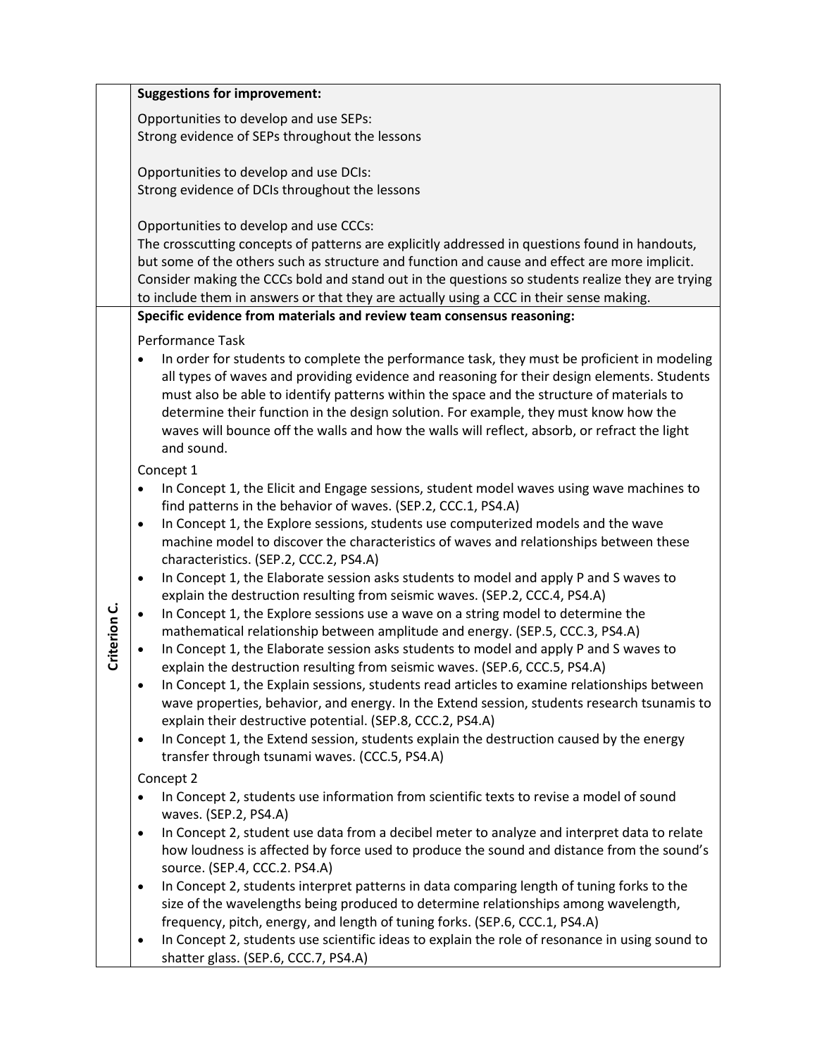|              | <b>Suggestions for improvement:</b>                                                                                                                                  |
|--------------|----------------------------------------------------------------------------------------------------------------------------------------------------------------------|
|              | Opportunities to develop and use SEPs:                                                                                                                               |
|              | Strong evidence of SEPs throughout the lessons                                                                                                                       |
|              |                                                                                                                                                                      |
|              | Opportunities to develop and use DCIs:                                                                                                                               |
|              | Strong evidence of DCIs throughout the lessons                                                                                                                       |
|              |                                                                                                                                                                      |
|              | Opportunities to develop and use CCCs:<br>The crosscutting concepts of patterns are explicitly addressed in questions found in handouts,                             |
|              | but some of the others such as structure and function and cause and effect are more implicit.                                                                        |
|              | Consider making the CCCs bold and stand out in the questions so students realize they are trying                                                                     |
|              | to include them in answers or that they are actually using a CCC in their sense making.                                                                              |
|              | Specific evidence from materials and review team consensus reasoning:                                                                                                |
|              | Performance Task                                                                                                                                                     |
|              | In order for students to complete the performance task, they must be proficient in modeling<br>$\bullet$                                                             |
|              | all types of waves and providing evidence and reasoning for their design elements. Students                                                                          |
|              | must also be able to identify patterns within the space and the structure of materials to                                                                            |
|              | determine their function in the design solution. For example, they must know how the                                                                                 |
|              | waves will bounce off the walls and how the walls will reflect, absorb, or refract the light                                                                         |
|              | and sound.                                                                                                                                                           |
|              | Concept 1                                                                                                                                                            |
|              | In Concept 1, the Elicit and Engage sessions, student model waves using wave machines to<br>$\bullet$                                                                |
|              | find patterns in the behavior of waves. (SEP.2, CCC.1, PS4.A)<br>In Concept 1, the Explore sessions, students use computerized models and the wave<br>$\bullet$      |
|              | machine model to discover the characteristics of waves and relationships between these                                                                               |
|              | characteristics. (SEP.2, CCC.2, PS4.A)                                                                                                                               |
|              | In Concept 1, the Elaborate session asks students to model and apply P and S waves to<br>$\bullet$                                                                   |
|              | explain the destruction resulting from seismic waves. (SEP.2, CCC.4, PS4.A)                                                                                          |
| Criterion C. | In Concept 1, the Explore sessions use a wave on a string model to determine the<br>$\bullet$                                                                        |
|              | mathematical relationship between amplitude and energy. (SEP.5, CCC.3, PS4.A)                                                                                        |
|              | In Concept 1, the Elaborate session asks students to model and apply P and S waves to<br>explain the destruction resulting from seismic waves. (SEP.6, CCC.5, PS4.A) |
|              | In Concept 1, the Explain sessions, students read articles to examine relationships between                                                                          |
|              | wave properties, behavior, and energy. In the Extend session, students research tsunamis to                                                                          |
|              | explain their destructive potential. (SEP.8, CCC.2, PS4.A)                                                                                                           |
|              | In Concept 1, the Extend session, students explain the destruction caused by the energy<br>$\bullet$                                                                 |
|              | transfer through tsunami waves. (CCC.5, PS4.A)                                                                                                                       |
|              | Concept 2                                                                                                                                                            |
|              | In Concept 2, students use information from scientific texts to revise a model of sound                                                                              |
|              | waves. (SEP.2, PS4.A)                                                                                                                                                |
|              | In Concept 2, student use data from a decibel meter to analyze and interpret data to relate<br>$\bullet$                                                             |
|              | how loudness is affected by force used to produce the sound and distance from the sound's<br>source. (SEP.4, CCC.2. PS4.A)                                           |
|              | In Concept 2, students interpret patterns in data comparing length of tuning forks to the<br>$\bullet$                                                               |
|              | size of the wavelengths being produced to determine relationships among wavelength,                                                                                  |
|              | frequency, pitch, energy, and length of tuning forks. (SEP.6, CCC.1, PS4.A)                                                                                          |
|              | In Concept 2, students use scientific ideas to explain the role of resonance in using sound to                                                                       |
|              | shatter glass. (SEP.6, CCC.7, PS4.A)                                                                                                                                 |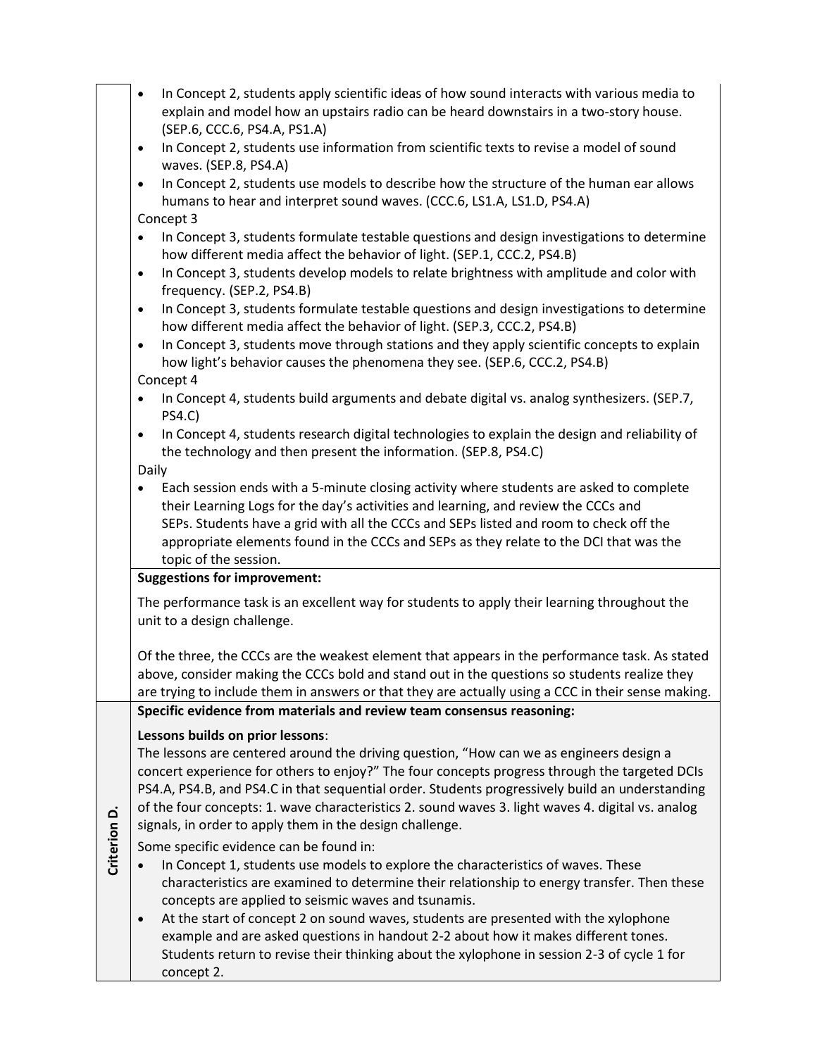|              | In Concept 2, students apply scientific ideas of how sound interacts with various media to<br>$\bullet$<br>explain and model how an upstairs radio can be heard downstairs in a two-story house.<br>(SEP.6, CCC.6, PS4.A, PS1.A)<br>In Concept 2, students use information from scientific texts to revise a model of sound<br>$\bullet$<br>waves. (SEP.8, PS4.A)<br>In Concept 2, students use models to describe how the structure of the human ear allows<br>$\bullet$<br>humans to hear and interpret sound waves. (CCC.6, LS1.A, LS1.D, PS4.A)<br>Concept 3<br>In Concept 3, students formulate testable questions and design investigations to determine<br>$\bullet$<br>how different media affect the behavior of light. (SEP.1, CCC.2, PS4.B)<br>In Concept 3, students develop models to relate brightness with amplitude and color with<br>$\bullet$<br>frequency. (SEP.2, PS4.B)<br>In Concept 3, students formulate testable questions and design investigations to determine<br>$\bullet$<br>how different media affect the behavior of light. (SEP.3, CCC.2, PS4.B)<br>In Concept 3, students move through stations and they apply scientific concepts to explain<br>$\bullet$<br>how light's behavior causes the phenomena they see. (SEP.6, CCC.2, PS4.B)<br>Concept 4<br>In Concept 4, students build arguments and debate digital vs. analog synthesizers. (SEP.7,<br>$\bullet$ |
|--------------|----------------------------------------------------------------------------------------------------------------------------------------------------------------------------------------------------------------------------------------------------------------------------------------------------------------------------------------------------------------------------------------------------------------------------------------------------------------------------------------------------------------------------------------------------------------------------------------------------------------------------------------------------------------------------------------------------------------------------------------------------------------------------------------------------------------------------------------------------------------------------------------------------------------------------------------------------------------------------------------------------------------------------------------------------------------------------------------------------------------------------------------------------------------------------------------------------------------------------------------------------------------------------------------------------------------------------------------------------------------------------------------------------|
|              | <b>PS4.C)</b><br>In Concept 4, students research digital technologies to explain the design and reliability of<br>$\bullet$<br>the technology and then present the information. (SEP.8, PS4.C)<br>Daily                                                                                                                                                                                                                                                                                                                                                                                                                                                                                                                                                                                                                                                                                                                                                                                                                                                                                                                                                                                                                                                                                                                                                                                            |
|              | Each session ends with a 5-minute closing activity where students are asked to complete<br>their Learning Logs for the day's activities and learning, and review the CCCs and<br>SEPs. Students have a grid with all the CCCs and SEPs listed and room to check off the<br>appropriate elements found in the CCCs and SEPs as they relate to the DCI that was the<br>topic of the session.                                                                                                                                                                                                                                                                                                                                                                                                                                                                                                                                                                                                                                                                                                                                                                                                                                                                                                                                                                                                         |
|              | <b>Suggestions for improvement:</b>                                                                                                                                                                                                                                                                                                                                                                                                                                                                                                                                                                                                                                                                                                                                                                                                                                                                                                                                                                                                                                                                                                                                                                                                                                                                                                                                                                |
|              | The performance task is an excellent way for students to apply their learning throughout the<br>unit to a design challenge.                                                                                                                                                                                                                                                                                                                                                                                                                                                                                                                                                                                                                                                                                                                                                                                                                                                                                                                                                                                                                                                                                                                                                                                                                                                                        |
|              | Of the three, the CCCs are the weakest element that appears in the performance task. As stated<br>above, consider making the CCCs bold and stand out in the questions so students realize they<br>are trying to include them in answers or that they are actually using a CCC in their sense making.                                                                                                                                                                                                                                                                                                                                                                                                                                                                                                                                                                                                                                                                                                                                                                                                                                                                                                                                                                                                                                                                                               |
|              | Specific evidence from materials and review team consensus reasoning:                                                                                                                                                                                                                                                                                                                                                                                                                                                                                                                                                                                                                                                                                                                                                                                                                                                                                                                                                                                                                                                                                                                                                                                                                                                                                                                              |
|              | Lessons builds on prior lessons:<br>The lessons are centered around the driving question, "How can we as engineers design a<br>concert experience for others to enjoy?" The four concepts progress through the targeted DCIs<br>PS4.A, PS4.B, and PS4.C in that sequential order. Students progressively build an understanding<br>of the four concepts: 1. wave characteristics 2. sound waves 3. light waves 4. digital vs. analog<br>signals, in order to apply them in the design challenge.                                                                                                                                                                                                                                                                                                                                                                                                                                                                                                                                                                                                                                                                                                                                                                                                                                                                                                   |
| Criterion D. | Some specific evidence can be found in:<br>In Concept 1, students use models to explore the characteristics of waves. These<br>characteristics are examined to determine their relationship to energy transfer. Then these<br>concepts are applied to seismic waves and tsunamis.<br>At the start of concept 2 on sound waves, students are presented with the xylophone<br>$\bullet$<br>example and are asked questions in handout 2-2 about how it makes different tones.<br>Students return to revise their thinking about the xylophone in session 2-3 of cycle 1 for<br>concept 2.                                                                                                                                                                                                                                                                                                                                                                                                                                                                                                                                                                                                                                                                                                                                                                                                            |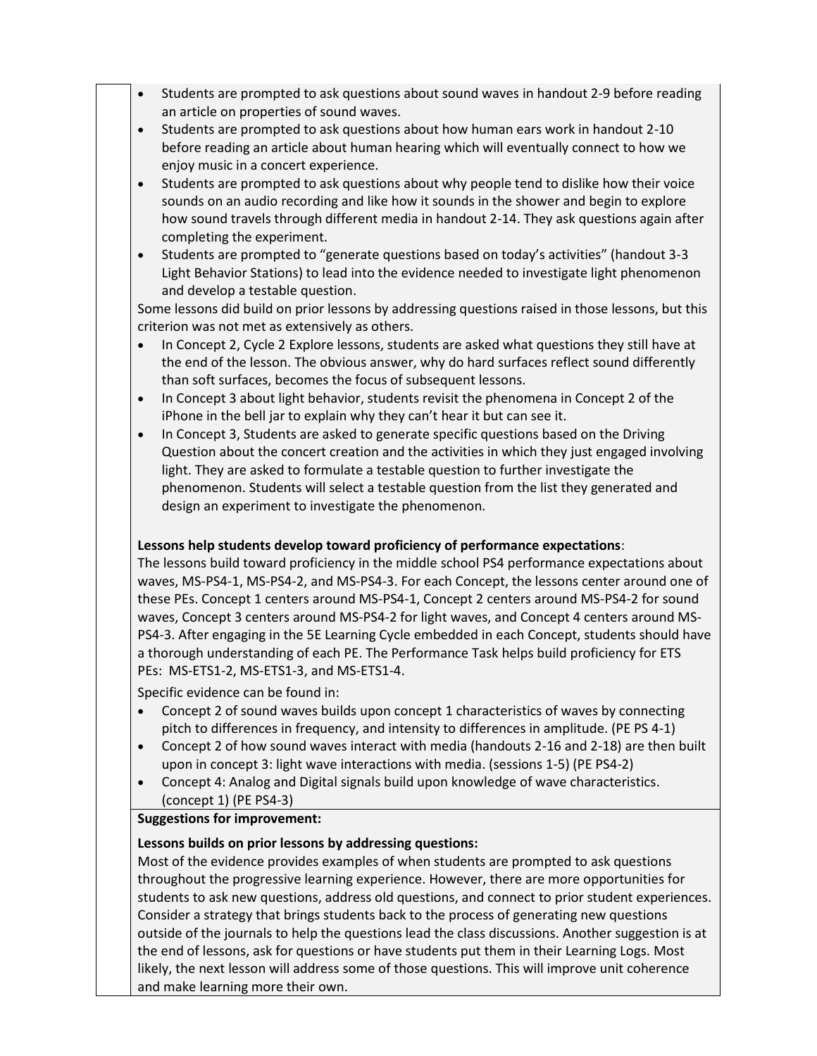- Students are prompted to ask questions about sound waves in handout 2-9 before reading an article on properties of sound waves.
- Students are prompted to ask questions about how human ears work in handout 2-10 before reading an article about human hearing which will eventually connect to how we enjoy music in a concert experience.
- Students are prompted to ask questions about why people tend to dislike how their voice sounds on an audio recording and like how it sounds in the shower and begin to explore how sound travels through different media in handout 2-14. They ask questions again after completing the experiment.
- Students are prompted to "generate questions based on today's activities" (handout 3-3 Light Behavior Stations) to lead into the evidence needed to investigate light phenomenon and develop a testable question.

Some lessons did build on prior lessons by addressing questions raised in those lessons, but this criterion was not met as extensively as others.

- In Concept 2, Cycle 2 Explore lessons, students are asked what questions they still have at the end of the lesson. The obvious answer, why do hard surfaces reflect sound differently than soft surfaces, becomes the focus of subsequent lessons.
- In Concept 3 about light behavior, students revisit the phenomena in Concept 2 of the iPhone in the bell jar to explain why they can't hear it but can see it.
- In Concept 3, Students are asked to generate specific questions based on the Driving Question about the concert creation and the activities in which they just engaged involving light. They are asked to formulate a testable question to further investigate the phenomenon. Students will select a testable question from the list they generated and design an experiment to investigate the phenomenon.

### **Lessons help students develop toward proficiency of performance expectations**:

The lessons build toward proficiency in the middle school PS4 performance expectations about waves, MS-PS4-1, MS-PS4-2, and MS-PS4-3. For each Concept, the lessons center around one of these PEs. Concept 1 centers around MS-PS4-1, Concept 2 centers around MS-PS4-2 for sound waves, Concept 3 centers around MS-PS4-2 for light waves, and Concept 4 centers around MS-PS4-3. After engaging in the 5E Learning Cycle embedded in each Concept, students should have a thorough understanding of each PE. The Performance Task helps build proficiency for ETS PEs: MS-ETS1-2, MS-ETS1-3, and MS-ETS1-4.

Specific evidence can be found in:

- Concept 2 of sound waves builds upon concept 1 characteristics of waves by connecting pitch to differences in frequency, and intensity to differences in amplitude. (PE PS 4-1)
- Concept 2 of how sound waves interact with media (handouts 2-16 and 2-18) are then built upon in concept 3: light wave interactions with media. (sessions 1-5) (PE PS4-2)
- Concept 4: Analog and Digital signals build upon knowledge of wave characteristics. (concept 1) (PE PS4-3)

### **Suggestions for improvement:**

### **Lessons builds on prior lessons by addressing questions:**

Most of the evidence provides examples of when students are prompted to ask questions throughout the progressive learning experience. However, there are more opportunities for students to ask new questions, address old questions, and connect to prior student experiences. Consider a strategy that brings students back to the process of generating new questions outside of the journals to help the questions lead the class discussions. Another suggestion is at the end of lessons, ask for questions or have students put them in their Learning Logs. Most likely, the next lesson will address some of those questions. This will improve unit coherence and make learning more their own.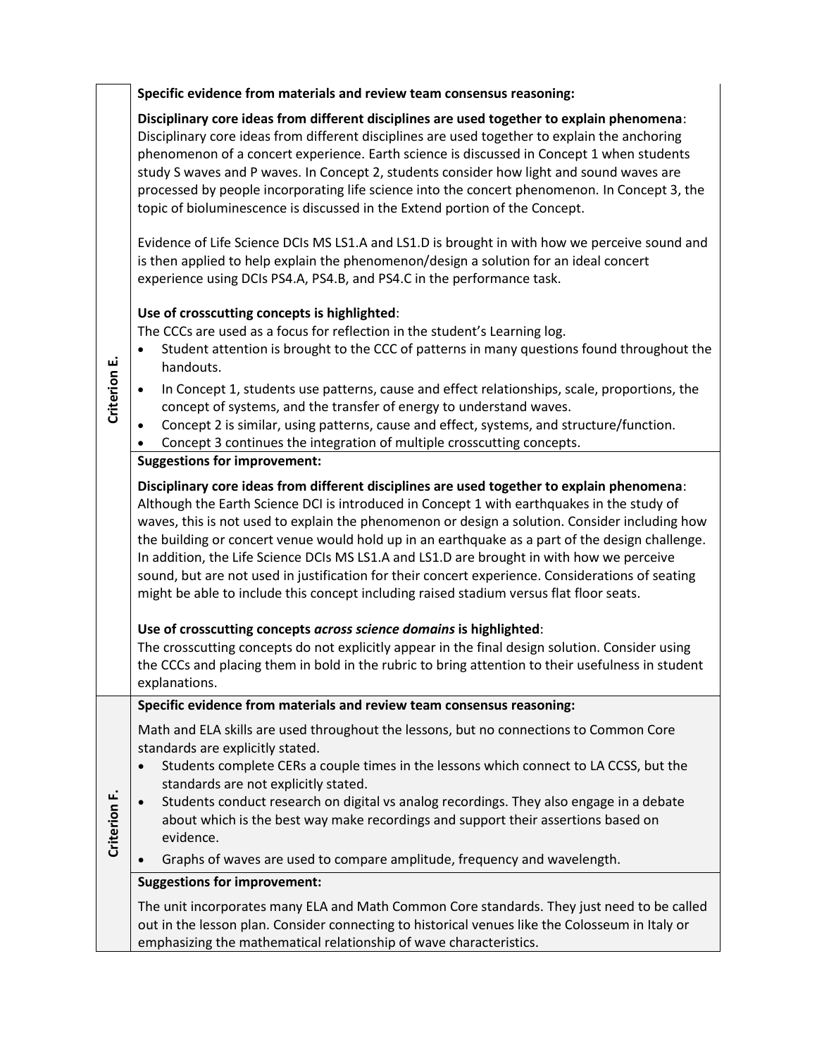**Specific evidence from materials and review team consensus reasoning:**

**Disciplinary core ideas from different disciplines are used together to explain phenomena**: Disciplinary core ideas from different disciplines are used together to explain the anchoring phenomenon of a concert experience. Earth science is discussed in Concept 1 when students study S waves and P waves. In Concept 2, students consider how light and sound waves are processed by people incorporating life science into the concert phenomenon. In Concept 3, the topic of bioluminescence is discussed in the Extend portion of the Concept.

Evidence of Life Science DCIs MS LS1.A and LS1.D is brought in with how we perceive sound and is then applied to help explain the phenomenon/design a solution for an ideal concert experience using DCIs PS4.A, PS4.B, and PS4.C in the performance task.

## **Use of crosscutting concepts is highlighted**:

The CCCs are used as a focus for reflection in the student's Learning log.

- Student attention is brought to the CCC of patterns in many questions found throughout the handouts.
- In Concept 1, students use patterns, cause and effect relationships, scale, proportions, the concept of systems, and the transfer of energy to understand waves.
- Concept 2 is similar, using patterns, cause and effect, systems, and structure/function.
- Concept 3 continues the integration of multiple crosscutting concepts.

### **Suggestions for improvement:**

**Disciplinary core ideas from different disciplines are used together to explain phenomena**: Although the Earth Science DCI is introduced in Concept 1 with earthquakes in the study of waves, this is not used to explain the phenomenon or design a solution. Consider including how the building or concert venue would hold up in an earthquake as a part of the design challenge. In addition, the Life Science DCIs MS LS1.A and LS1.D are brought in with how we perceive sound, but are not used in justification for their concert experience. Considerations of seating might be able to include this concept including raised stadium versus flat floor seats.

# **Use of crosscutting concepts** *across science domains* **is highlighted**:

The crosscutting concepts do not explicitly appear in the final design solution. Consider using the CCCs and placing them in bold in the rubric to bring attention to their usefulness in student explanations.

### **Specific evidence from materials and review team consensus reasoning:**

Math and ELA skills are used throughout the lessons, but no connections to Common Core standards are explicitly stated.

- Students complete CERs a couple times in the lessons which connect to LA CCSS, but the standards are not explicitly stated.
- **Criterion F.** • Students conduct research on digital vs analog recordings. They also engage in a debate about which is the best way make recordings and support their assertions based on evidence.
	- Graphs of waves are used to compare amplitude, frequency and wavelength.

# **Suggestions for improvement:**

The unit incorporates many ELA and Math Common Core standards. They just need to be called out in the lesson plan. Consider connecting to historical venues like the Colosseum in Italy or emphasizing the mathematical relationship of wave characteristics.

**Criterion E.**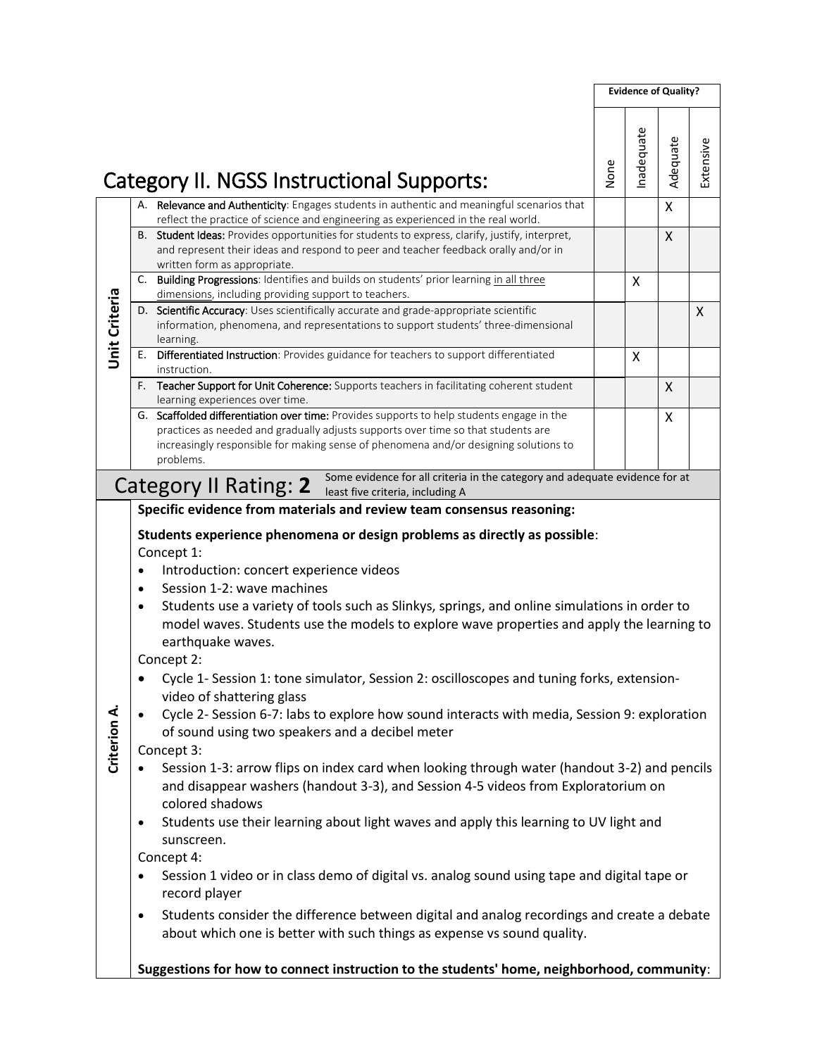| <b>Unit Criteria</b> | Category II. NGSS Instructional Supports:<br>A. Relevance and Authenticity: Engages students in authentic and meaningful scenarios that<br>reflect the practice of science and engineering as experienced in the real world.<br>B. Student Ideas: Provides opportunities for students to express, clarify, justify, interpret,<br>and represent their ideas and respond to peer and teacher feedback orally and/or in<br>written form as appropriate.<br>C. Building Progressions: Identifies and builds on students' prior learning in all three<br>dimensions, including providing support to teachers.<br>D. Scientific Accuracy: Uses scientifically accurate and grade-appropriate scientific                                                                                                                                                                                                                                                                                                                                                                                                                                                                                                                                                                                                                                                                                                                                                                              | None | nadequate | Adequate<br>X<br>X | Extensive |
|----------------------|---------------------------------------------------------------------------------------------------------------------------------------------------------------------------------------------------------------------------------------------------------------------------------------------------------------------------------------------------------------------------------------------------------------------------------------------------------------------------------------------------------------------------------------------------------------------------------------------------------------------------------------------------------------------------------------------------------------------------------------------------------------------------------------------------------------------------------------------------------------------------------------------------------------------------------------------------------------------------------------------------------------------------------------------------------------------------------------------------------------------------------------------------------------------------------------------------------------------------------------------------------------------------------------------------------------------------------------------------------------------------------------------------------------------------------------------------------------------------------|------|-----------|--------------------|-----------|
|                      |                                                                                                                                                                                                                                                                                                                                                                                                                                                                                                                                                                                                                                                                                                                                                                                                                                                                                                                                                                                                                                                                                                                                                                                                                                                                                                                                                                                                                                                                                 |      |           |                    |           |
|                      |                                                                                                                                                                                                                                                                                                                                                                                                                                                                                                                                                                                                                                                                                                                                                                                                                                                                                                                                                                                                                                                                                                                                                                                                                                                                                                                                                                                                                                                                                 |      |           |                    |           |
|                      |                                                                                                                                                                                                                                                                                                                                                                                                                                                                                                                                                                                                                                                                                                                                                                                                                                                                                                                                                                                                                                                                                                                                                                                                                                                                                                                                                                                                                                                                                 |      |           |                    |           |
|                      |                                                                                                                                                                                                                                                                                                                                                                                                                                                                                                                                                                                                                                                                                                                                                                                                                                                                                                                                                                                                                                                                                                                                                                                                                                                                                                                                                                                                                                                                                 |      | X         |                    |           |
|                      | information, phenomena, and representations to support students' three-dimensional<br>learning.                                                                                                                                                                                                                                                                                                                                                                                                                                                                                                                                                                                                                                                                                                                                                                                                                                                                                                                                                                                                                                                                                                                                                                                                                                                                                                                                                                                 |      |           |                    | X         |
|                      | Differentiated Instruction: Provides guidance for teachers to support differentiated<br>Е.<br>instruction.                                                                                                                                                                                                                                                                                                                                                                                                                                                                                                                                                                                                                                                                                                                                                                                                                                                                                                                                                                                                                                                                                                                                                                                                                                                                                                                                                                      |      | X         |                    |           |
|                      | F. Teacher Support for Unit Coherence: Supports teachers in facilitating coherent student<br>learning experiences over time.                                                                                                                                                                                                                                                                                                                                                                                                                                                                                                                                                                                                                                                                                                                                                                                                                                                                                                                                                                                                                                                                                                                                                                                                                                                                                                                                                    |      |           | X                  |           |
|                      | G. Scaffolded differentiation over time: Provides supports to help students engage in the<br>practices as needed and gradually adjusts supports over time so that students are<br>increasingly responsible for making sense of phenomena and/or designing solutions to<br>problems.                                                                                                                                                                                                                                                                                                                                                                                                                                                                                                                                                                                                                                                                                                                                                                                                                                                                                                                                                                                                                                                                                                                                                                                             |      |           | X                  |           |
|                      | Some evidence for all criteria in the category and adequate evidence for at<br>Category II Rating: 2 June evidence for all children                                                                                                                                                                                                                                                                                                                                                                                                                                                                                                                                                                                                                                                                                                                                                                                                                                                                                                                                                                                                                                                                                                                                                                                                                                                                                                                                             |      |           |                    |           |
| Criterion A.         | Students experience phenomena or design problems as directly as possible:<br>Concept 1:<br>Introduction: concert experience videos<br>Session 1-2: wave machines<br>$\bullet$<br>Students use a variety of tools such as Slinkys, springs, and online simulations in order to<br>$\bullet$<br>model waves. Students use the models to explore wave properties and apply the learning to<br>earthquake waves.<br>Concept 2:<br>Cycle 1- Session 1: tone simulator, Session 2: oscilloscopes and tuning forks, extension-<br>video of shattering glass<br>Cycle 2- Session 6-7: labs to explore how sound interacts with media, Session 9: exploration<br>$\bullet$<br>of sound using two speakers and a decibel meter<br>Concept 3:<br>Session 1-3: arrow flips on index card when looking through water (handout 3-2) and pencils<br>and disappear washers (handout 3-3), and Session 4-5 videos from Exploratorium on<br>colored shadows<br>Students use their learning about light waves and apply this learning to UV light and<br>$\bullet$<br>sunscreen.<br>Concept 4:<br>Session 1 video or in class demo of digital vs. analog sound using tape and digital tape or<br>record player<br>Students consider the difference between digital and analog recordings and create a debate<br>$\bullet$<br>about which one is better with such things as expense vs sound quality.<br>Suggestions for how to connect instruction to the students' home, neighborhood, community: |      |           |                    |           |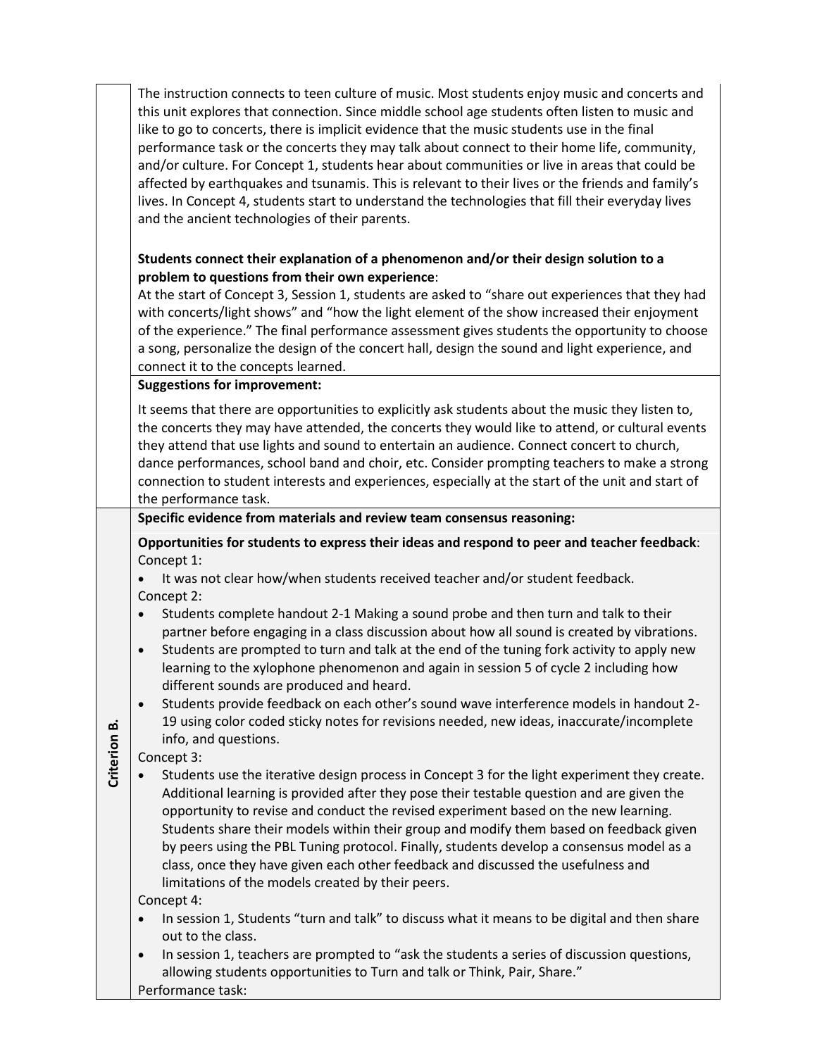The instruction connects to teen culture of music. Most students enjoy music and concerts and this unit explores that connection. Since middle school age students often listen to music and like to go to concerts, there is implicit evidence that the music students use in the final performance task or the concerts they may talk about connect to their home life, community, and/or culture. For Concept 1, students hear about communities or live in areas that could be affected by earthquakes and tsunamis. This is relevant to their lives or the friends and family's lives. In Concept 4, students start to understand the technologies that fill their everyday lives and the ancient technologies of their parents.

### **Students connect their explanation of a phenomenon and/or their design solution to a problem to questions from their own experience**:

At the start of Concept 3, Session 1, students are asked to "share out experiences that they had with concerts/light shows" and "how the light element of the show increased their enjoyment of the experience." The final performance assessment gives students the opportunity to choose a song, personalize the design of the concert hall, design the sound and light experience, and connect it to the concepts learned.

### **Suggestions for improvement:**

It seems that there are opportunities to explicitly ask students about the music they listen to, the concerts they may have attended, the concerts they would like to attend, or cultural events they attend that use lights and sound to entertain an audience. Connect concert to church, dance performances, school band and choir, etc. Consider prompting teachers to make a strong connection to student interests and experiences, especially at the start of the unit and start of the performance task.

### **Specific evidence from materials and review team consensus reasoning:**

**Opportunities for students to express their ideas and respond to peer and teacher feedback**: Concept 1:

- It was not clear how/when students received teacher and/or student feedback. Concept 2:
- Students complete handout 2-1 Making a sound probe and then turn and talk to their partner before engaging in a class discussion about how all sound is created by vibrations.
- Students are prompted to turn and talk at the end of the tuning fork activity to apply new learning to the xylophone phenomenon and again in session 5 of cycle 2 including how different sounds are produced and heard.
- Students provide feedback on each other's sound wave interference models in handout 2- 19 using color coded sticky notes for revisions needed, new ideas, inaccurate/incomplete info, and questions.

Concept 3:

**Criterion** 

**B.**

• Students use the iterative design process in Concept 3 for the light experiment they create. Additional learning is provided after they pose their testable question and are given the opportunity to revise and conduct the revised experiment based on the new learning. Students share their models within their group and modify them based on feedback given by peers using the PBL Tuning protocol. Finally, students develop a consensus model as a class, once they have given each other feedback and discussed the usefulness and limitations of the models created by their peers.

Concept 4:

- In session 1, Students "turn and talk" to discuss what it means to be digital and then share out to the class.
- In session 1, teachers are prompted to "ask the students a series of discussion questions, allowing students opportunities to Turn and talk or Think, Pair, Share."

Performance task: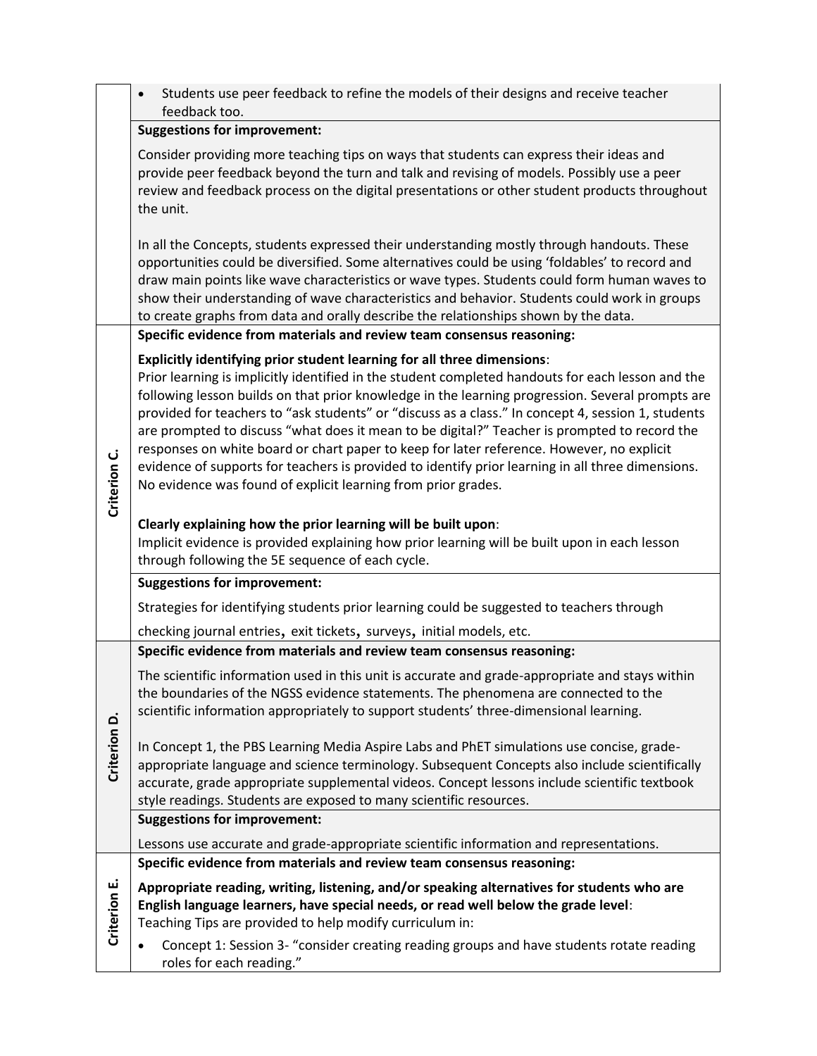|              | Students use peer feedback to refine the models of their designs and receive teacher<br>feedback too.                                                                                                                                                                                                                                                                                                                                                                                                                                                                                                                                                                                                                                                     |
|--------------|-----------------------------------------------------------------------------------------------------------------------------------------------------------------------------------------------------------------------------------------------------------------------------------------------------------------------------------------------------------------------------------------------------------------------------------------------------------------------------------------------------------------------------------------------------------------------------------------------------------------------------------------------------------------------------------------------------------------------------------------------------------|
|              | <b>Suggestions for improvement:</b>                                                                                                                                                                                                                                                                                                                                                                                                                                                                                                                                                                                                                                                                                                                       |
|              | Consider providing more teaching tips on ways that students can express their ideas and<br>provide peer feedback beyond the turn and talk and revising of models. Possibly use a peer<br>review and feedback process on the digital presentations or other student products throughout<br>the unit.                                                                                                                                                                                                                                                                                                                                                                                                                                                       |
|              | In all the Concepts, students expressed their understanding mostly through handouts. These<br>opportunities could be diversified. Some alternatives could be using 'foldables' to record and<br>draw main points like wave characteristics or wave types. Students could form human waves to<br>show their understanding of wave characteristics and behavior. Students could work in groups<br>to create graphs from data and orally describe the relationships shown by the data.                                                                                                                                                                                                                                                                       |
|              | Specific evidence from materials and review team consensus reasoning:                                                                                                                                                                                                                                                                                                                                                                                                                                                                                                                                                                                                                                                                                     |
| Criterion C. | Explicitly identifying prior student learning for all three dimensions:<br>Prior learning is implicitly identified in the student completed handouts for each lesson and the<br>following lesson builds on that prior knowledge in the learning progression. Several prompts are<br>provided for teachers to "ask students" or "discuss as a class." In concept 4, session 1, students<br>are prompted to discuss "what does it mean to be digital?" Teacher is prompted to record the<br>responses on white board or chart paper to keep for later reference. However, no explicit<br>evidence of supports for teachers is provided to identify prior learning in all three dimensions.<br>No evidence was found of explicit learning from prior grades. |
|              | Clearly explaining how the prior learning will be built upon:<br>Implicit evidence is provided explaining how prior learning will be built upon in each lesson<br>through following the 5E sequence of each cycle.                                                                                                                                                                                                                                                                                                                                                                                                                                                                                                                                        |
|              | <b>Suggestions for improvement:</b>                                                                                                                                                                                                                                                                                                                                                                                                                                                                                                                                                                                                                                                                                                                       |
|              | Strategies for identifying students prior learning could be suggested to teachers through                                                                                                                                                                                                                                                                                                                                                                                                                                                                                                                                                                                                                                                                 |
|              | checking journal entries, exit tickets, surveys, initial models, etc.                                                                                                                                                                                                                                                                                                                                                                                                                                                                                                                                                                                                                                                                                     |
|              | Specific evidence from materials and review team consensus reasoning:                                                                                                                                                                                                                                                                                                                                                                                                                                                                                                                                                                                                                                                                                     |
|              | The scientific information used in this unit is accurate and grade-appropriate and stays within<br>the boundaries of the NGSS evidence statements. The phenomena are connected to the<br>scientific information appropriately to support students' three-dimensional learning.                                                                                                                                                                                                                                                                                                                                                                                                                                                                            |
| Criterion D. | In Concept 1, the PBS Learning Media Aspire Labs and PhET simulations use concise, grade-<br>appropriate language and science terminology. Subsequent Concepts also include scientifically<br>accurate, grade appropriate supplemental videos. Concept lessons include scientific textbook<br>style readings. Students are exposed to many scientific resources.                                                                                                                                                                                                                                                                                                                                                                                          |
|              | <b>Suggestions for improvement:</b>                                                                                                                                                                                                                                                                                                                                                                                                                                                                                                                                                                                                                                                                                                                       |
|              | Lessons use accurate and grade-appropriate scientific information and representations.                                                                                                                                                                                                                                                                                                                                                                                                                                                                                                                                                                                                                                                                    |
|              | Specific evidence from materials and review team consensus reasoning:                                                                                                                                                                                                                                                                                                                                                                                                                                                                                                                                                                                                                                                                                     |
| Criterion E. | Appropriate reading, writing, listening, and/or speaking alternatives for students who are<br>English language learners, have special needs, or read well below the grade level:<br>Teaching Tips are provided to help modify curriculum in:<br>Concept 1: Session 3- "consider creating reading groups and have students rotate reading<br>٠                                                                                                                                                                                                                                                                                                                                                                                                             |
|              | roles for each reading."                                                                                                                                                                                                                                                                                                                                                                                                                                                                                                                                                                                                                                                                                                                                  |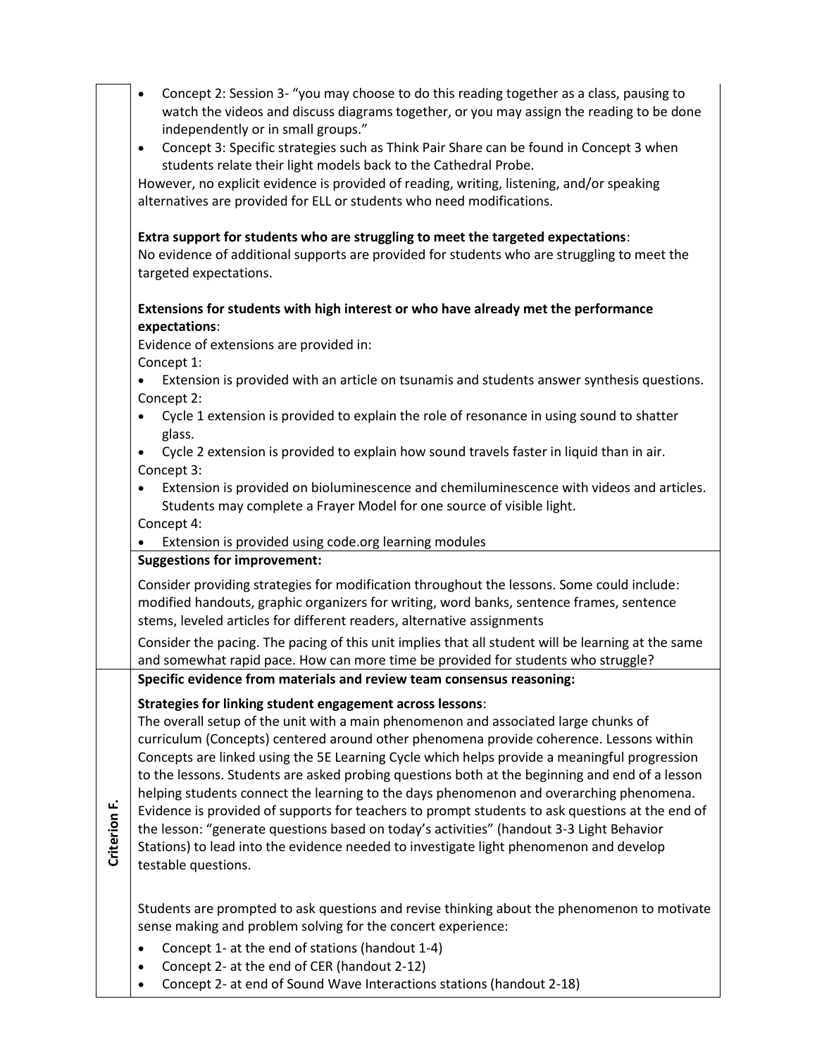|              | Concept 2: Session 3- "you may choose to do this reading together as a class, pausing to<br>$\bullet$<br>watch the videos and discuss diagrams together, or you may assign the reading to be done<br>independently or in small groups."<br>Concept 3: Specific strategies such as Think Pair Share can be found in Concept 3 when<br>$\bullet$                                                                                                                                                                                                                                                                                                                                                                                                                                                                                                                  |
|--------------|-----------------------------------------------------------------------------------------------------------------------------------------------------------------------------------------------------------------------------------------------------------------------------------------------------------------------------------------------------------------------------------------------------------------------------------------------------------------------------------------------------------------------------------------------------------------------------------------------------------------------------------------------------------------------------------------------------------------------------------------------------------------------------------------------------------------------------------------------------------------|
|              | students relate their light models back to the Cathedral Probe.<br>However, no explicit evidence is provided of reading, writing, listening, and/or speaking                                                                                                                                                                                                                                                                                                                                                                                                                                                                                                                                                                                                                                                                                                    |
|              | alternatives are provided for ELL or students who need modifications.                                                                                                                                                                                                                                                                                                                                                                                                                                                                                                                                                                                                                                                                                                                                                                                           |
|              | Extra support for students who are struggling to meet the targeted expectations:<br>No evidence of additional supports are provided for students who are struggling to meet the<br>targeted expectations.                                                                                                                                                                                                                                                                                                                                                                                                                                                                                                                                                                                                                                                       |
|              | Extensions for students with high interest or who have already met the performance<br>expectations:                                                                                                                                                                                                                                                                                                                                                                                                                                                                                                                                                                                                                                                                                                                                                             |
|              | Evidence of extensions are provided in:<br>Concept 1:                                                                                                                                                                                                                                                                                                                                                                                                                                                                                                                                                                                                                                                                                                                                                                                                           |
|              | Extension is provided with an article on tsunamis and students answer synthesis questions.<br>Concept 2:                                                                                                                                                                                                                                                                                                                                                                                                                                                                                                                                                                                                                                                                                                                                                        |
|              | Cycle 1 extension is provided to explain the role of resonance in using sound to shatter<br>glass.                                                                                                                                                                                                                                                                                                                                                                                                                                                                                                                                                                                                                                                                                                                                                              |
|              | Cycle 2 extension is provided to explain how sound travels faster in liquid than in air.<br>$\bullet$<br>Concept 3:                                                                                                                                                                                                                                                                                                                                                                                                                                                                                                                                                                                                                                                                                                                                             |
|              | Extension is provided on bioluminescence and chemiluminescence with videos and articles.<br>Students may complete a Frayer Model for one source of visible light.                                                                                                                                                                                                                                                                                                                                                                                                                                                                                                                                                                                                                                                                                               |
|              | Concept 4:<br>Extension is provided using code.org learning modules                                                                                                                                                                                                                                                                                                                                                                                                                                                                                                                                                                                                                                                                                                                                                                                             |
|              | <b>Suggestions for improvement:</b>                                                                                                                                                                                                                                                                                                                                                                                                                                                                                                                                                                                                                                                                                                                                                                                                                             |
|              | Consider providing strategies for modification throughout the lessons. Some could include:<br>modified handouts, graphic organizers for writing, word banks, sentence frames, sentence<br>stems, leveled articles for different readers, alternative assignments                                                                                                                                                                                                                                                                                                                                                                                                                                                                                                                                                                                                |
|              | Consider the pacing. The pacing of this unit implies that all student will be learning at the same<br>and somewhat rapid pace. How can more time be provided for students who struggle?                                                                                                                                                                                                                                                                                                                                                                                                                                                                                                                                                                                                                                                                         |
|              | Specific evidence from materials and review team consensus reasoning:                                                                                                                                                                                                                                                                                                                                                                                                                                                                                                                                                                                                                                                                                                                                                                                           |
| Criterion F. | <b>Strategies for linking student engagement across lessons:</b><br>The overall setup of the unit with a main phenomenon and associated large chunks of<br>curriculum (Concepts) centered around other phenomena provide coherence. Lessons within<br>Concepts are linked using the 5E Learning Cycle which helps provide a meaningful progression<br>to the lessons. Students are asked probing questions both at the beginning and end of a lesson<br>helping students connect the learning to the days phenomenon and overarching phenomena.<br>Evidence is provided of supports for teachers to prompt students to ask questions at the end of<br>the lesson: "generate questions based on today's activities" (handout 3-3 Light Behavior<br>Stations) to lead into the evidence needed to investigate light phenomenon and develop<br>testable questions. |
|              | Students are prompted to ask questions and revise thinking about the phenomenon to motivate<br>sense making and problem solving for the concert experience:                                                                                                                                                                                                                                                                                                                                                                                                                                                                                                                                                                                                                                                                                                     |
|              | Concept 1- at the end of stations (handout 1-4)<br>$\bullet$<br>Concept 2- at the end of CER (handout 2-12)                                                                                                                                                                                                                                                                                                                                                                                                                                                                                                                                                                                                                                                                                                                                                     |

• Concept 2- at end of Sound Wave Interactions stations (handout 2-18)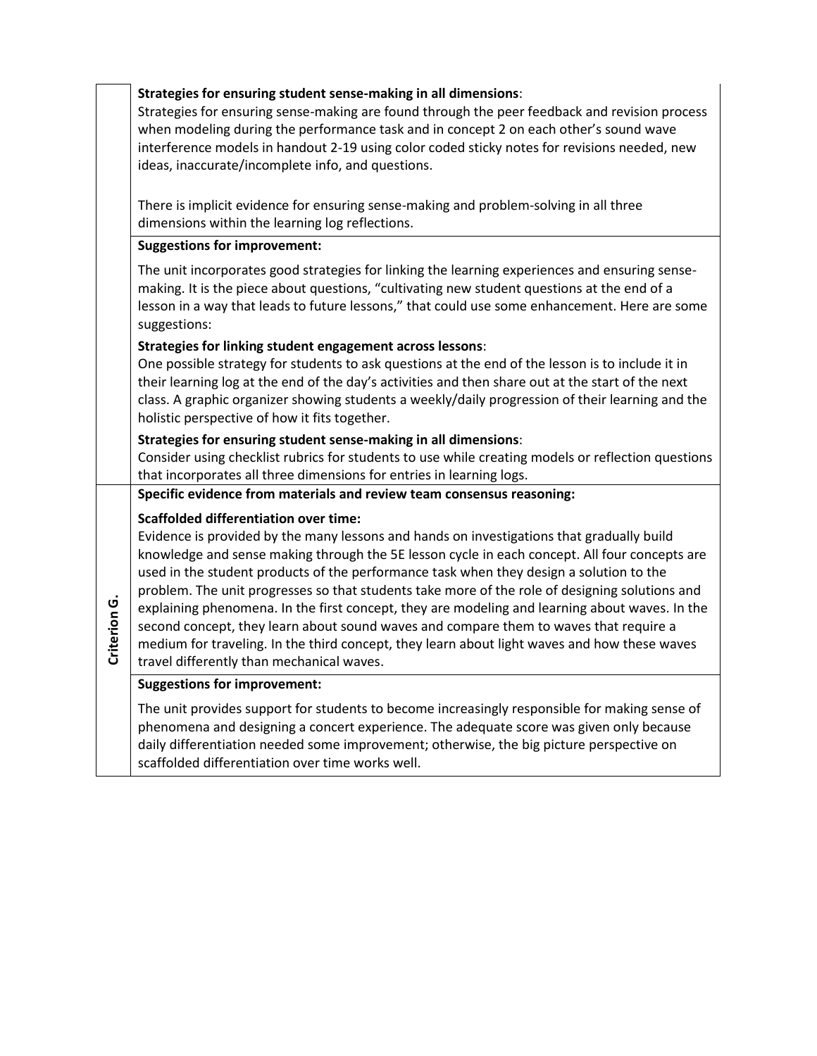|              | Strategies for ensuring student sense-making in all dimensions:<br>Strategies for ensuring sense-making are found through the peer feedback and revision process<br>when modeling during the performance task and in concept 2 on each other's sound wave<br>interference models in handout 2-19 using color coded sticky notes for revisions needed, new<br>ideas, inaccurate/incomplete info, and questions.                                                                                                                                                                                                                                                                                                                                                                  |
|--------------|---------------------------------------------------------------------------------------------------------------------------------------------------------------------------------------------------------------------------------------------------------------------------------------------------------------------------------------------------------------------------------------------------------------------------------------------------------------------------------------------------------------------------------------------------------------------------------------------------------------------------------------------------------------------------------------------------------------------------------------------------------------------------------|
|              | There is implicit evidence for ensuring sense-making and problem-solving in all three<br>dimensions within the learning log reflections.                                                                                                                                                                                                                                                                                                                                                                                                                                                                                                                                                                                                                                        |
|              | <b>Suggestions for improvement:</b>                                                                                                                                                                                                                                                                                                                                                                                                                                                                                                                                                                                                                                                                                                                                             |
|              | The unit incorporates good strategies for linking the learning experiences and ensuring sense-<br>making. It is the piece about questions, "cultivating new student questions at the end of a<br>lesson in a way that leads to future lessons," that could use some enhancement. Here are some<br>suggestions:                                                                                                                                                                                                                                                                                                                                                                                                                                                                  |
|              | <b>Strategies for linking student engagement across lessons:</b><br>One possible strategy for students to ask questions at the end of the lesson is to include it in<br>their learning log at the end of the day's activities and then share out at the start of the next<br>class. A graphic organizer showing students a weekly/daily progression of their learning and the<br>holistic perspective of how it fits together.                                                                                                                                                                                                                                                                                                                                                  |
|              | Strategies for ensuring student sense-making in all dimensions:<br>Consider using checklist rubrics for students to use while creating models or reflection questions<br>that incorporates all three dimensions for entries in learning logs.                                                                                                                                                                                                                                                                                                                                                                                                                                                                                                                                   |
|              | Specific evidence from materials and review team consensus reasoning:                                                                                                                                                                                                                                                                                                                                                                                                                                                                                                                                                                                                                                                                                                           |
| Criterion G. | <b>Scaffolded differentiation over time:</b><br>Evidence is provided by the many lessons and hands on investigations that gradually build<br>knowledge and sense making through the 5E lesson cycle in each concept. All four concepts are<br>used in the student products of the performance task when they design a solution to the<br>problem. The unit progresses so that students take more of the role of designing solutions and<br>explaining phenomena. In the first concept, they are modeling and learning about waves. In the<br>second concept, they learn about sound waves and compare them to waves that require a<br>medium for traveling. In the third concept, they learn about light waves and how these waves<br>travel differently than mechanical waves. |
|              | <b>Suggestions for improvement:</b>                                                                                                                                                                                                                                                                                                                                                                                                                                                                                                                                                                                                                                                                                                                                             |
|              | The unit provides support for students to become increasingly responsible for making sense of<br>phenomena and designing a concert experience. The adequate score was given only because<br>daily differentiation needed some improvement; otherwise, the big picture perspective on<br>scaffolded differentiation over time works well.                                                                                                                                                                                                                                                                                                                                                                                                                                        |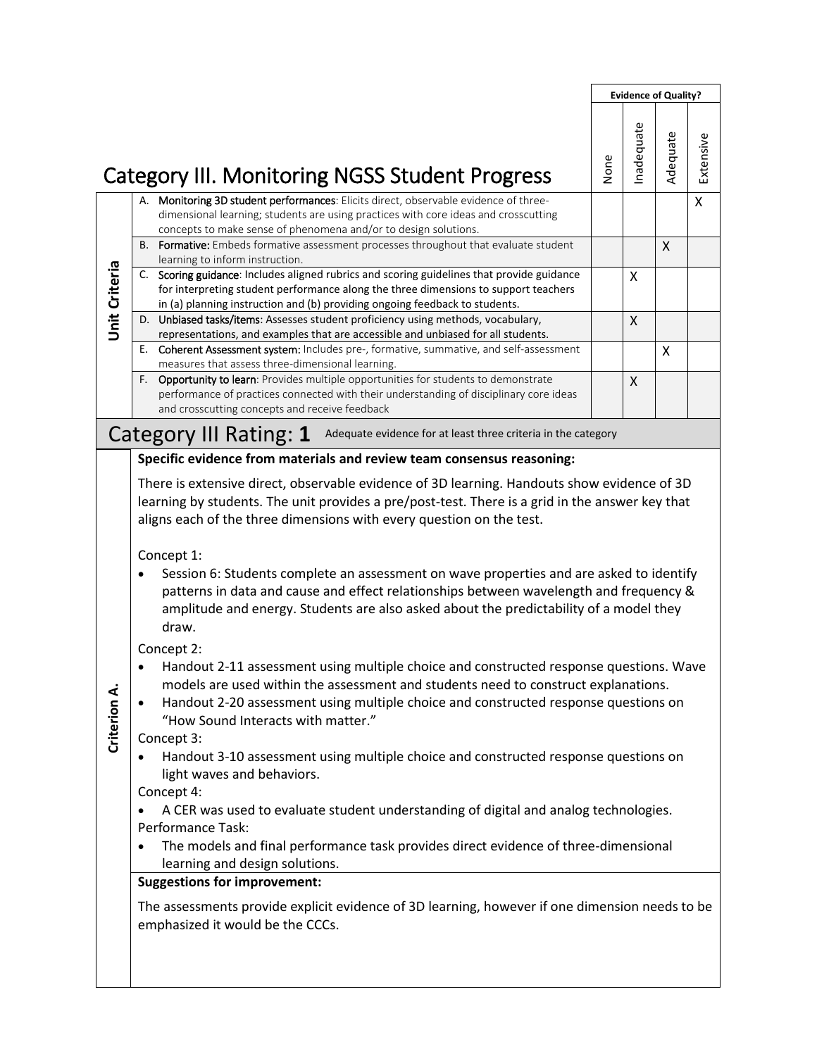|                                                                                                                                                                                                                                                                                                                                                                       | None                                                                                                                                                                                                                                                                                                                                                                                                               | nadequate                                                     | Adequate | Extensive                                                                                                                                                                                                                                                                                                                                                                                                                                                                                                                                                                                                                                                                                                                                                                                                                                                                                                                                                                                                                                                                                                                                                   |
|-----------------------------------------------------------------------------------------------------------------------------------------------------------------------------------------------------------------------------------------------------------------------------------------------------------------------------------------------------------------------|--------------------------------------------------------------------------------------------------------------------------------------------------------------------------------------------------------------------------------------------------------------------------------------------------------------------------------------------------------------------------------------------------------------------|---------------------------------------------------------------|----------|-------------------------------------------------------------------------------------------------------------------------------------------------------------------------------------------------------------------------------------------------------------------------------------------------------------------------------------------------------------------------------------------------------------------------------------------------------------------------------------------------------------------------------------------------------------------------------------------------------------------------------------------------------------------------------------------------------------------------------------------------------------------------------------------------------------------------------------------------------------------------------------------------------------------------------------------------------------------------------------------------------------------------------------------------------------------------------------------------------------------------------------------------------------|
| A. Monitoring 3D student performances: Elicits direct, observable evidence of three-<br>dimensional learning; students are using practices with core ideas and crosscutting<br>concepts to make sense of phenomena and/or to design solutions.                                                                                                                        |                                                                                                                                                                                                                                                                                                                                                                                                                    |                                                               |          | Χ                                                                                                                                                                                                                                                                                                                                                                                                                                                                                                                                                                                                                                                                                                                                                                                                                                                                                                                                                                                                                                                                                                                                                           |
| B. Formative: Embeds formative assessment processes throughout that evaluate student                                                                                                                                                                                                                                                                                  |                                                                                                                                                                                                                                                                                                                                                                                                                    |                                                               | X        |                                                                                                                                                                                                                                                                                                                                                                                                                                                                                                                                                                                                                                                                                                                                                                                                                                                                                                                                                                                                                                                                                                                                                             |
| C. Scoring guidance: Includes aligned rubrics and scoring guidelines that provide guidance<br>for interpreting student performance along the three dimensions to support teachers                                                                                                                                                                                     |                                                                                                                                                                                                                                                                                                                                                                                                                    | X                                                             |          |                                                                                                                                                                                                                                                                                                                                                                                                                                                                                                                                                                                                                                                                                                                                                                                                                                                                                                                                                                                                                                                                                                                                                             |
| D. Unbiased tasks/items: Assesses student proficiency using methods, vocabulary,                                                                                                                                                                                                                                                                                      |                                                                                                                                                                                                                                                                                                                                                                                                                    | X                                                             |          |                                                                                                                                                                                                                                                                                                                                                                                                                                                                                                                                                                                                                                                                                                                                                                                                                                                                                                                                                                                                                                                                                                                                                             |
| E. Coherent Assessment system: Includes pre-, formative, summative, and self-assessment                                                                                                                                                                                                                                                                               |                                                                                                                                                                                                                                                                                                                                                                                                                    |                                                               | X        |                                                                                                                                                                                                                                                                                                                                                                                                                                                                                                                                                                                                                                                                                                                                                                                                                                                                                                                                                                                                                                                                                                                                                             |
| F. Opportunity to learn: Provides multiple opportunities for students to demonstrate<br>performance of practices connected with their understanding of disciplinary core ideas<br>and crosscutting concepts and receive feedback                                                                                                                                      |                                                                                                                                                                                                                                                                                                                                                                                                                    | $\mathsf{X}$                                                  |          |                                                                                                                                                                                                                                                                                                                                                                                                                                                                                                                                                                                                                                                                                                                                                                                                                                                                                                                                                                                                                                                                                                                                                             |
|                                                                                                                                                                                                                                                                                                                                                                       |                                                                                                                                                                                                                                                                                                                                                                                                                    |                                                               |          |                                                                                                                                                                                                                                                                                                                                                                                                                                                                                                                                                                                                                                                                                                                                                                                                                                                                                                                                                                                                                                                                                                                                                             |
| aligns each of the three dimensions with every question on the test.<br>Concept 1:<br>draw.<br>Concept 2:<br>$\bullet$<br>"How Sound Interacts with matter."<br>Concept 3:<br>light waves and behaviors.<br>Concept 4:<br>$\bullet$<br>Performance Task:<br>learning and design solutions.<br><b>Suggestions for improvement:</b><br>emphasized it would be the CCCs. |                                                                                                                                                                                                                                                                                                                                                                                                                    |                                                               |          |                                                                                                                                                                                                                                                                                                                                                                                                                                                                                                                                                                                                                                                                                                                                                                                                                                                                                                                                                                                                                                                                                                                                                             |
|                                                                                                                                                                                                                                                                                                                                                                       | <b>Category III. Monitoring NGSS Student Progress</b><br>learning to inform instruction.<br>in (a) planning instruction and (b) providing ongoing feedback to students.<br>representations, and examples that are accessible and unbiased for all students.<br>measures that assess three-dimensional learning.<br>Category III Rating: 1<br>Specific evidence from materials and review team consensus reasoning: | Adequate evidence for at least three criteria in the category |          | <b>Evidence of Quality?</b><br>There is extensive direct, observable evidence of 3D learning. Handouts show evidence of 3D<br>learning by students. The unit provides a pre/post-test. There is a grid in the answer key that<br>Session 6: Students complete an assessment on wave properties and are asked to identify<br>patterns in data and cause and effect relationships between wavelength and frequency &<br>amplitude and energy. Students are also asked about the predictability of a model they<br>Handout 2-11 assessment using multiple choice and constructed response questions. Wave<br>models are used within the assessment and students need to construct explanations.<br>Handout 2-20 assessment using multiple choice and constructed response questions on<br>Handout 3-10 assessment using multiple choice and constructed response questions on<br>A CER was used to evaluate student understanding of digital and analog technologies.<br>The models and final performance task provides direct evidence of three-dimensional<br>The assessments provide explicit evidence of 3D learning, however if one dimension needs to be |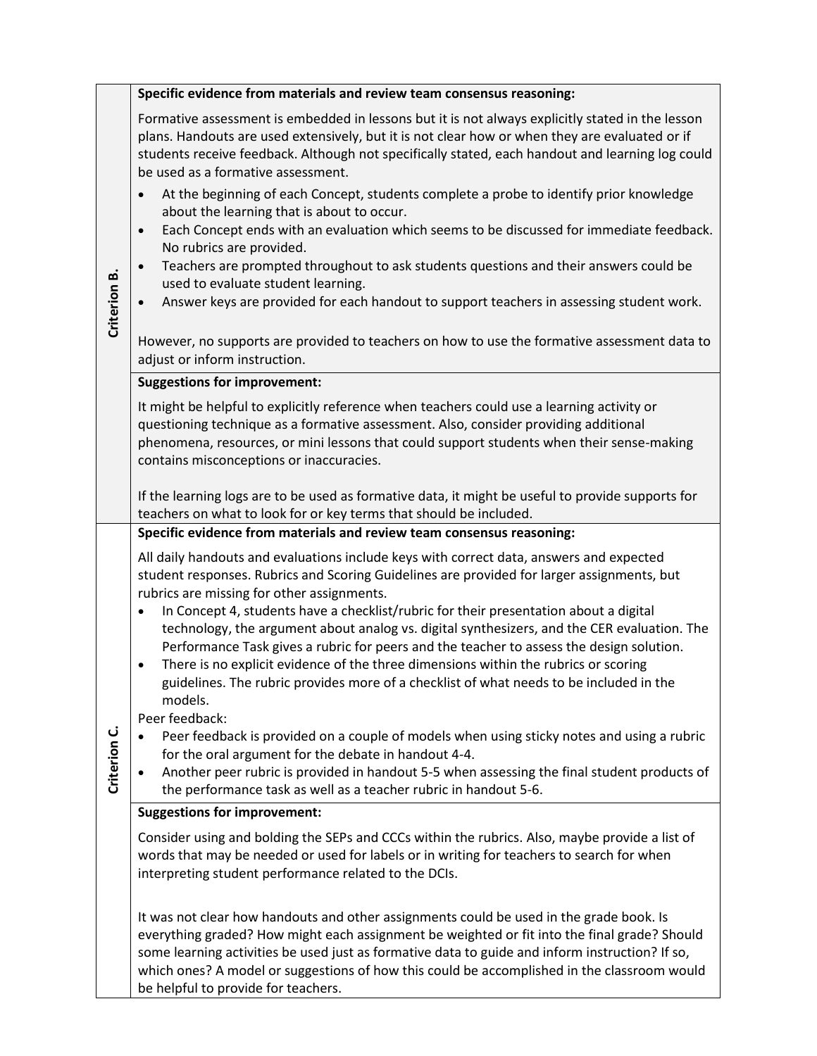|              | Specific evidence from materials and review team consensus reasoning:                                                                                                                                                                                                                                                                                                                                                                                                                                                                |
|--------------|--------------------------------------------------------------------------------------------------------------------------------------------------------------------------------------------------------------------------------------------------------------------------------------------------------------------------------------------------------------------------------------------------------------------------------------------------------------------------------------------------------------------------------------|
|              | Formative assessment is embedded in lessons but it is not always explicitly stated in the lesson<br>plans. Handouts are used extensively, but it is not clear how or when they are evaluated or if<br>students receive feedback. Although not specifically stated, each handout and learning log could<br>be used as a formative assessment.                                                                                                                                                                                         |
| Criterion B. | At the beginning of each Concept, students complete a probe to identify prior knowledge<br>$\bullet$<br>about the learning that is about to occur.<br>Each Concept ends with an evaluation which seems to be discussed for immediate feedback.<br>$\bullet$<br>No rubrics are provided.<br>Teachers are prompted throughout to ask students questions and their answers could be<br>$\bullet$<br>used to evaluate student learning.<br>Answer keys are provided for each handout to support teachers in assessing student work.      |
|              | However, no supports are provided to teachers on how to use the formative assessment data to<br>adjust or inform instruction.                                                                                                                                                                                                                                                                                                                                                                                                        |
|              | <b>Suggestions for improvement:</b>                                                                                                                                                                                                                                                                                                                                                                                                                                                                                                  |
|              | It might be helpful to explicitly reference when teachers could use a learning activity or<br>questioning technique as a formative assessment. Also, consider providing additional<br>phenomena, resources, or mini lessons that could support students when their sense-making<br>contains misconceptions or inaccuracies.                                                                                                                                                                                                          |
|              | If the learning logs are to be used as formative data, it might be useful to provide supports for<br>teachers on what to look for or key terms that should be included.                                                                                                                                                                                                                                                                                                                                                              |
|              | Specific evidence from materials and review team consensus reasoning:                                                                                                                                                                                                                                                                                                                                                                                                                                                                |
|              | All daily handouts and evaluations include keys with correct data, answers and expected<br>student responses. Rubrics and Scoring Guidelines are provided for larger assignments, but<br>rubrics are missing for other assignments.<br>In Concept 4, students have a checklist/rubric for their presentation about a digital<br>$\bullet$<br>technology, the argument about analog vs. digital synthesizers, and the CER evaluation. The<br>Performance Task gives a rubric for peers and the teacher to assess the design solution. |
|              | There is no explicit evidence of the three dimensions within the rubrics or scoring<br>$\bullet$<br>guidelines. The rubric provides more of a checklist of what needs to be included in the<br>models.                                                                                                                                                                                                                                                                                                                               |
| Criterion C. | Peer feedback:<br>Peer feedback is provided on a couple of models when using sticky notes and using a rubric<br>$\bullet$<br>for the oral argument for the debate in handout 4-4.<br>Another peer rubric is provided in handout 5-5 when assessing the final student products of                                                                                                                                                                                                                                                     |
|              | the performance task as well as a teacher rubric in handout 5-6.                                                                                                                                                                                                                                                                                                                                                                                                                                                                     |
|              | <b>Suggestions for improvement:</b>                                                                                                                                                                                                                                                                                                                                                                                                                                                                                                  |
|              | Consider using and bolding the SEPs and CCCs within the rubrics. Also, maybe provide a list of<br>words that may be needed or used for labels or in writing for teachers to search for when<br>interpreting student performance related to the DCIs.                                                                                                                                                                                                                                                                                 |
|              | It was not clear how handouts and other assignments could be used in the grade book. Is<br>everything graded? How might each assignment be weighted or fit into the final grade? Should<br>some learning activities be used just as formative data to guide and inform instruction? If so,<br>which ones? A model or suggestions of how this could be accomplished in the classroom would<br>be helpful to provide for teachers.                                                                                                     |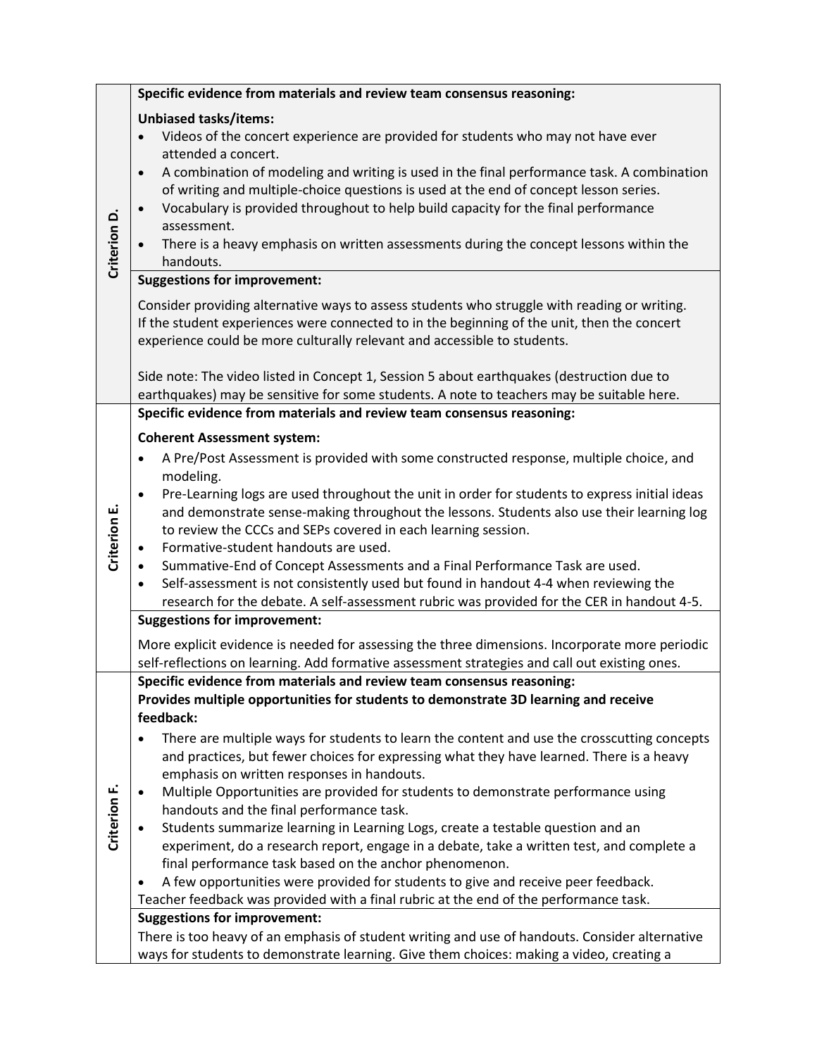|              | Specific evidence from materials and review team consensus reasoning:                                                                                                                                                                                                                                                                                                                                                                                                                                                                                                             |
|--------------|-----------------------------------------------------------------------------------------------------------------------------------------------------------------------------------------------------------------------------------------------------------------------------------------------------------------------------------------------------------------------------------------------------------------------------------------------------------------------------------------------------------------------------------------------------------------------------------|
| Criterion D. | <b>Unbiased tasks/items:</b><br>Videos of the concert experience are provided for students who may not have ever<br>attended a concert.<br>A combination of modeling and writing is used in the final performance task. A combination<br>$\bullet$<br>of writing and multiple-choice questions is used at the end of concept lesson series.<br>Vocabulary is provided throughout to help build capacity for the final performance<br>$\bullet$<br>assessment.<br>There is a heavy emphasis on written assessments during the concept lessons within the<br>$\bullet$<br>handouts. |
|              | <b>Suggestions for improvement:</b>                                                                                                                                                                                                                                                                                                                                                                                                                                                                                                                                               |
|              | Consider providing alternative ways to assess students who struggle with reading or writing.<br>If the student experiences were connected to in the beginning of the unit, then the concert<br>experience could be more culturally relevant and accessible to students.                                                                                                                                                                                                                                                                                                           |
|              | Side note: The video listed in Concept 1, Session 5 about earthquakes (destruction due to<br>earthquakes) may be sensitive for some students. A note to teachers may be suitable here.                                                                                                                                                                                                                                                                                                                                                                                            |
|              | Specific evidence from materials and review team consensus reasoning:                                                                                                                                                                                                                                                                                                                                                                                                                                                                                                             |
|              | <b>Coherent Assessment system:</b>                                                                                                                                                                                                                                                                                                                                                                                                                                                                                                                                                |
|              | A Pre/Post Assessment is provided with some constructed response, multiple choice, and<br>$\bullet$                                                                                                                                                                                                                                                                                                                                                                                                                                                                               |
|              | modeling.                                                                                                                                                                                                                                                                                                                                                                                                                                                                                                                                                                         |
|              | Pre-Learning logs are used throughout the unit in order for students to express initial ideas<br>$\bullet$                                                                                                                                                                                                                                                                                                                                                                                                                                                                        |
|              | and demonstrate sense-making throughout the lessons. Students also use their learning log                                                                                                                                                                                                                                                                                                                                                                                                                                                                                         |
|              | to review the CCCs and SEPs covered in each learning session.                                                                                                                                                                                                                                                                                                                                                                                                                                                                                                                     |
| Criterion E. | Formative-student handouts are used.<br>٠                                                                                                                                                                                                                                                                                                                                                                                                                                                                                                                                         |
|              | Summative-End of Concept Assessments and a Final Performance Task are used.<br>$\bullet$                                                                                                                                                                                                                                                                                                                                                                                                                                                                                          |
|              | Self-assessment is not consistently used but found in handout 4-4 when reviewing the<br>$\bullet$                                                                                                                                                                                                                                                                                                                                                                                                                                                                                 |
|              | research for the debate. A self-assessment rubric was provided for the CER in handout 4-5.<br><b>Suggestions for improvement:</b>                                                                                                                                                                                                                                                                                                                                                                                                                                                 |
|              |                                                                                                                                                                                                                                                                                                                                                                                                                                                                                                                                                                                   |
|              | More explicit evidence is needed for assessing the three dimensions. Incorporate more periodic                                                                                                                                                                                                                                                                                                                                                                                                                                                                                    |
|              | self-reflections on learning. Add formative assessment strategies and call out existing ones.<br>Specific evidence from materials and review team consensus reasoning:                                                                                                                                                                                                                                                                                                                                                                                                            |
|              | Provides multiple opportunities for students to demonstrate 3D learning and receive                                                                                                                                                                                                                                                                                                                                                                                                                                                                                               |
|              | feedback:                                                                                                                                                                                                                                                                                                                                                                                                                                                                                                                                                                         |
|              | There are multiple ways for students to learn the content and use the crosscutting concepts<br>$\bullet$                                                                                                                                                                                                                                                                                                                                                                                                                                                                          |
|              | and practices, but fewer choices for expressing what they have learned. There is a heavy                                                                                                                                                                                                                                                                                                                                                                                                                                                                                          |
|              | emphasis on written responses in handouts.                                                                                                                                                                                                                                                                                                                                                                                                                                                                                                                                        |
|              | Multiple Opportunities are provided for students to demonstrate performance using<br>$\bullet$                                                                                                                                                                                                                                                                                                                                                                                                                                                                                    |
| Criterion F. | handouts and the final performance task.                                                                                                                                                                                                                                                                                                                                                                                                                                                                                                                                          |
|              | Students summarize learning in Learning Logs, create a testable question and an<br>$\bullet$                                                                                                                                                                                                                                                                                                                                                                                                                                                                                      |
|              | experiment, do a research report, engage in a debate, take a written test, and complete a                                                                                                                                                                                                                                                                                                                                                                                                                                                                                         |
|              | final performance task based on the anchor phenomenon.                                                                                                                                                                                                                                                                                                                                                                                                                                                                                                                            |
|              | A few opportunities were provided for students to give and receive peer feedback.<br>$\bullet$                                                                                                                                                                                                                                                                                                                                                                                                                                                                                    |
|              | Teacher feedback was provided with a final rubric at the end of the performance task.<br><b>Suggestions for improvement:</b>                                                                                                                                                                                                                                                                                                                                                                                                                                                      |
|              | There is too heavy of an emphasis of student writing and use of handouts. Consider alternative                                                                                                                                                                                                                                                                                                                                                                                                                                                                                    |
|              | ways for students to demonstrate learning. Give them choices: making a video, creating a                                                                                                                                                                                                                                                                                                                                                                                                                                                                                          |